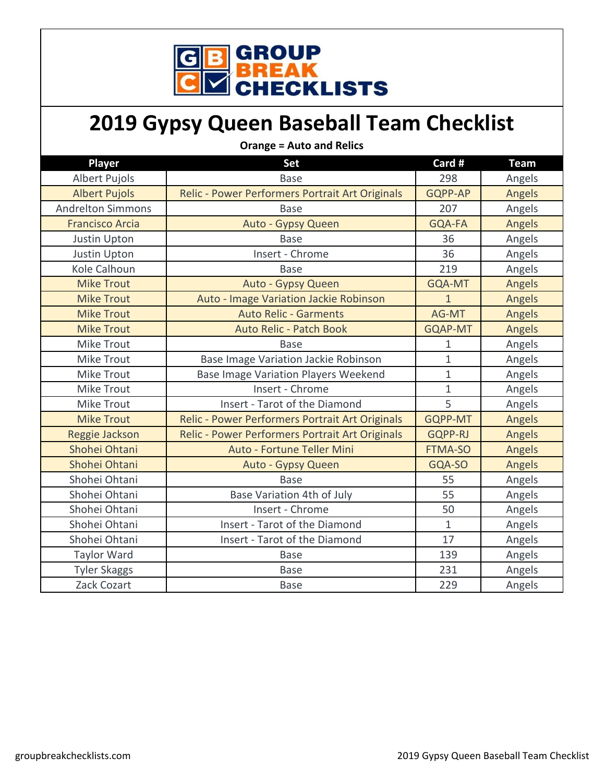

## **2019 Gypsy Queen Baseball Team Checklist**

| <b>Orange = Auto and Relics</b> |                                                 |                |             |
|---------------------------------|-------------------------------------------------|----------------|-------------|
| Player                          | <b>Set</b>                                      | Card #         | <b>Team</b> |
| <b>Albert Pujols</b>            | <b>Base</b>                                     | 298            | Angels      |
| <b>Albert Pujols</b>            | Relic - Power Performers Portrait Art Originals | GQPP-AP        | Angels      |
| <b>Andrelton Simmons</b>        | <b>Base</b>                                     | 207            | Angels      |
| <b>Francisco Arcia</b>          | Auto - Gypsy Queen                              | GQA-FA         | Angels      |
| Justin Upton                    | <b>Base</b>                                     | 36             | Angels      |
| Justin Upton                    | Insert - Chrome                                 | 36             | Angels      |
| Kole Calhoun                    | <b>Base</b>                                     | 219            | Angels      |
| <b>Mike Trout</b>               | Auto - Gypsy Queen                              | GQA-MT         | Angels      |
| <b>Mike Trout</b>               | Auto - Image Variation Jackie Robinson          | $\mathbf{1}$   | Angels      |
| <b>Mike Trout</b>               | <b>Auto Relic - Garments</b>                    | AG-MT          | Angels      |
| <b>Mike Trout</b>               | Auto Relic - Patch Book                         | <b>GQAP-MT</b> | Angels      |
| <b>Mike Trout</b>               | <b>Base</b>                                     | 1              | Angels      |
| <b>Mike Trout</b>               | Base Image Variation Jackie Robinson            | $\mathbf{1}$   | Angels      |
| <b>Mike Trout</b>               | Base Image Variation Players Weekend            | $\mathbf{1}$   | Angels      |
| <b>Mike Trout</b>               | Insert - Chrome                                 | $\mathbf{1}$   | Angels      |
| <b>Mike Trout</b>               | Insert - Tarot of the Diamond                   | 5              | Angels      |
| <b>Mike Trout</b>               | Relic - Power Performers Portrait Art Originals | <b>GQPP-MT</b> | Angels      |
| Reggie Jackson                  | Relic - Power Performers Portrait Art Originals | <b>GQPP-RJ</b> | Angels      |
| Shohei Ohtani                   | Auto - Fortune Teller Mini                      | <b>FTMA-SO</b> | Angels      |
| Shohei Ohtani                   | Auto - Gypsy Queen                              | GQA-SO         | Angels      |
| Shohei Ohtani                   | <b>Base</b>                                     | 55             | Angels      |
| Shohei Ohtani                   | Base Variation 4th of July                      | 55             | Angels      |
| Shohei Ohtani                   | Insert - Chrome                                 | 50             | Angels      |
| Shohei Ohtani                   | Insert - Tarot of the Diamond                   | $\mathbf{1}$   | Angels      |
| Shohei Ohtani                   | Insert - Tarot of the Diamond                   | 17             | Angels      |
| <b>Taylor Ward</b>              | <b>Base</b>                                     | 139            | Angels      |
| <b>Tyler Skaggs</b>             | <b>Base</b>                                     | 231            | Angels      |
| Zack Cozart                     | <b>Base</b>                                     | 229            | Angels      |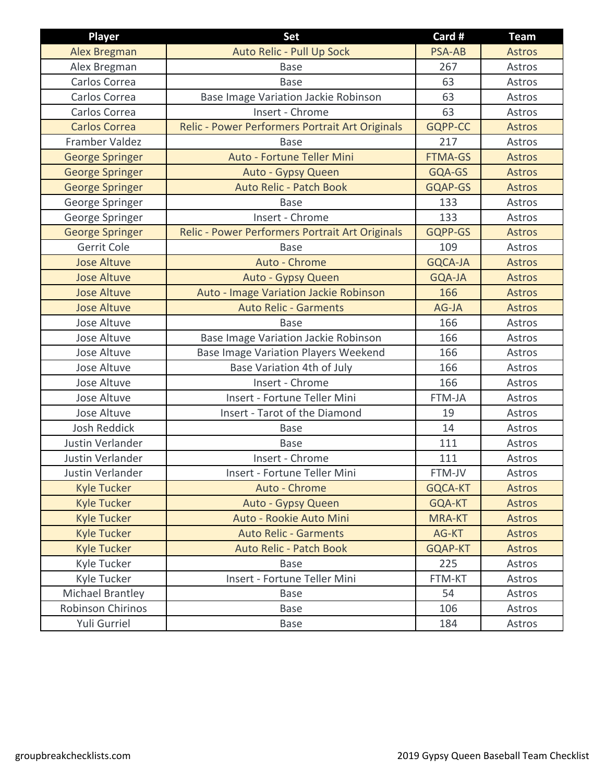| <b>Player</b>            | Set                                             | Card #         | <b>Team</b>   |
|--------------------------|-------------------------------------------------|----------------|---------------|
| Alex Bregman             | Auto Relic - Pull Up Sock                       | <b>PSA-AB</b>  | <b>Astros</b> |
| Alex Bregman             | <b>Base</b>                                     | 267            | Astros        |
| Carlos Correa            | <b>Base</b>                                     | 63             | Astros        |
| Carlos Correa            | Base Image Variation Jackie Robinson            | 63             | Astros        |
| Carlos Correa            | Insert - Chrome                                 | 63             | Astros        |
| <b>Carlos Correa</b>     | Relic - Power Performers Portrait Art Originals | <b>GQPP-CC</b> | <b>Astros</b> |
| Framber Valdez           | <b>Base</b>                                     | 217            | Astros        |
| <b>George Springer</b>   | Auto - Fortune Teller Mini                      | <b>FTMA-GS</b> | <b>Astros</b> |
| <b>George Springer</b>   | Auto - Gypsy Queen                              | GQA-GS         | <b>Astros</b> |
| <b>George Springer</b>   | <b>Auto Relic - Patch Book</b>                  | GQAP-GS        | <b>Astros</b> |
| George Springer          | <b>Base</b>                                     | 133            | Astros        |
| George Springer          | Insert - Chrome                                 | 133            | Astros        |
| <b>George Springer</b>   | Relic - Power Performers Portrait Art Originals | GQPP-GS        | <b>Astros</b> |
| Gerrit Cole              | <b>Base</b>                                     | 109            | Astros        |
| <b>Jose Altuve</b>       | Auto - Chrome                                   | <b>GQCA-JA</b> | <b>Astros</b> |
| <b>Jose Altuve</b>       | Auto - Gypsy Queen                              | <b>GQA-JA</b>  | <b>Astros</b> |
| <b>Jose Altuve</b>       | Auto - Image Variation Jackie Robinson          | 166            | <b>Astros</b> |
| <b>Jose Altuve</b>       | <b>Auto Relic - Garments</b>                    | AG-JA          | <b>Astros</b> |
| Jose Altuve              | <b>Base</b>                                     | 166            | Astros        |
| <b>Jose Altuve</b>       | Base Image Variation Jackie Robinson            | 166            | Astros        |
| <b>Jose Altuve</b>       | <b>Base Image Variation Players Weekend</b>     | 166            | Astros        |
| <b>Jose Altuve</b>       | Base Variation 4th of July                      | 166            | Astros        |
| <b>Jose Altuve</b>       | Insert - Chrome                                 | 166            | Astros        |
| <b>Jose Altuve</b>       | Insert - Fortune Teller Mini                    | FTM-JA         | Astros        |
| Jose Altuve              | Insert - Tarot of the Diamond                   | 19             | Astros        |
| <b>Josh Reddick</b>      | <b>Base</b>                                     | 14             | Astros        |
| Justin Verlander         | <b>Base</b>                                     | 111            | Astros        |
| <b>Justin Verlander</b>  | Insert - Chrome                                 | 111            | Astros        |
| Justin Verlander         | Insert - Fortune Teller Mini                    | FTM-JV         | Astros        |
| <b>Kyle Tucker</b>       | Auto - Chrome                                   | GQCA-KT        | <b>Astros</b> |
| <b>Kyle Tucker</b>       | Auto - Gypsy Queen                              | GQA-KT         | Astros        |
| <b>Kyle Tucker</b>       | Auto - Rookie Auto Mini                         | <b>MRA-KT</b>  | Astros        |
| <b>Kyle Tucker</b>       | <b>Auto Relic - Garments</b>                    | AG-KT          | <b>Astros</b> |
| <b>Kyle Tucker</b>       | <b>Auto Relic - Patch Book</b>                  | <b>GQAP-KT</b> | <b>Astros</b> |
| Kyle Tucker              | <b>Base</b>                                     | 225            | Astros        |
| Kyle Tucker              | Insert - Fortune Teller Mini                    | FTM-KT         | Astros        |
| Michael Brantley         | Base                                            | 54             | Astros        |
| <b>Robinson Chirinos</b> | Base                                            | 106            | Astros        |
| Yuli Gurriel             | Base                                            | 184            | Astros        |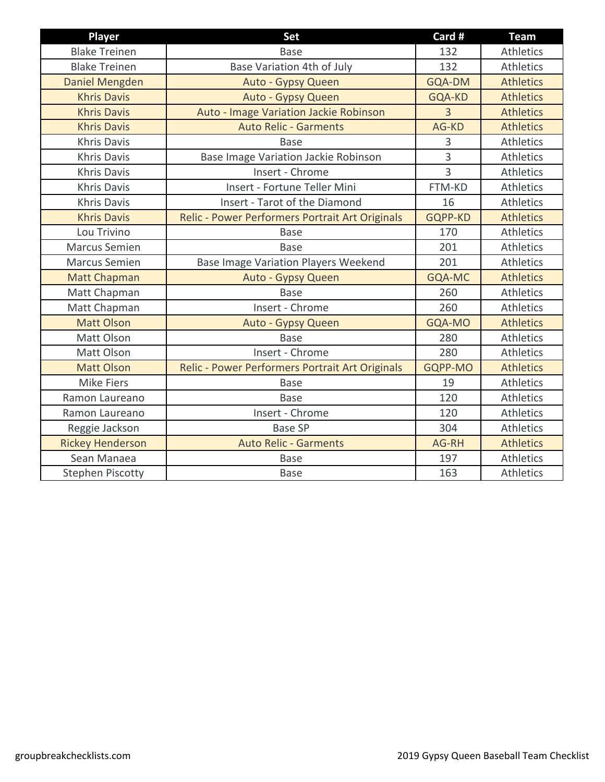| <b>Player</b>           | <b>Set</b>                                      | Card #         | <b>Team</b>      |
|-------------------------|-------------------------------------------------|----------------|------------------|
| <b>Blake Treinen</b>    | <b>Base</b>                                     | 132            | <b>Athletics</b> |
| <b>Blake Treinen</b>    | Base Variation 4th of July                      | 132            | <b>Athletics</b> |
| Daniel Mengden          | Auto - Gypsy Queen                              | GQA-DM         | <b>Athletics</b> |
| <b>Khris Davis</b>      | Auto - Gypsy Queen                              | GQA-KD         | <b>Athletics</b> |
| <b>Khris Davis</b>      | Auto - Image Variation Jackie Robinson          | $\overline{3}$ | <b>Athletics</b> |
| <b>Khris Davis</b>      | <b>Auto Relic - Garments</b>                    | AG-KD          | <b>Athletics</b> |
| Khris Davis             | <b>Base</b>                                     | 3              | Athletics        |
| <b>Khris Davis</b>      | Base Image Variation Jackie Robinson            | $\overline{3}$ | Athletics        |
| <b>Khris Davis</b>      | Insert - Chrome                                 | $\overline{3}$ | Athletics        |
| <b>Khris Davis</b>      | Insert - Fortune Teller Mini                    | FTM-KD         | Athletics        |
| <b>Khris Davis</b>      | Insert - Tarot of the Diamond                   | 16             | <b>Athletics</b> |
| <b>Khris Davis</b>      | Relic - Power Performers Portrait Art Originals | <b>GQPP-KD</b> | <b>Athletics</b> |
| Lou Trivino             | <b>Base</b>                                     | 170            | Athletics        |
| <b>Marcus Semien</b>    | <b>Base</b>                                     | 201            | Athletics        |
| <b>Marcus Semien</b>    | <b>Base Image Variation Players Weekend</b>     | 201            | Athletics        |
| <b>Matt Chapman</b>     | Auto - Gypsy Queen                              | GQA-MC         | <b>Athletics</b> |
| Matt Chapman            | <b>Base</b>                                     | 260            | Athletics        |
| Matt Chapman            | Insert - Chrome                                 | 260            | <b>Athletics</b> |
| <b>Matt Olson</b>       | Auto - Gypsy Queen                              | GQA-MO         | <b>Athletics</b> |
| Matt Olson              | <b>Base</b>                                     | 280            | <b>Athletics</b> |
| Matt Olson              | Insert - Chrome                                 | 280            | Athletics        |
| <b>Matt Olson</b>       | Relic - Power Performers Portrait Art Originals | GQPP-MO        | <b>Athletics</b> |
| <b>Mike Fiers</b>       | <b>Base</b>                                     | 19             | Athletics        |
| Ramon Laureano          | <b>Base</b>                                     | 120            | Athletics        |
| Ramon Laureano          | Insert - Chrome                                 | 120            | Athletics        |
| Reggie Jackson          | <b>Base SP</b>                                  | 304            | <b>Athletics</b> |
| <b>Rickey Henderson</b> | <b>Auto Relic - Garments</b>                    | AG-RH          | <b>Athletics</b> |
| Sean Manaea             | <b>Base</b>                                     | 197            | Athletics        |
| <b>Stephen Piscotty</b> | <b>Base</b>                                     | 163            | Athletics        |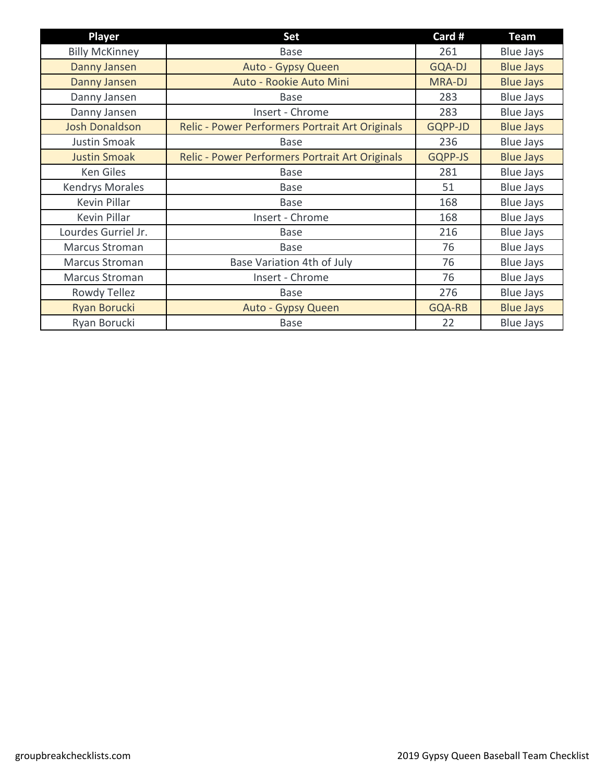| <b>Player</b>          | Set                                             | Card #        | Team             |
|------------------------|-------------------------------------------------|---------------|------------------|
| <b>Billy McKinney</b>  | <b>Base</b>                                     | 261           | <b>Blue Jays</b> |
| Danny Jansen           | Auto - Gypsy Queen                              | <b>GQA-DJ</b> | <b>Blue Jays</b> |
| Danny Jansen           | Auto - Rookie Auto Mini                         | <b>MRA-DJ</b> | <b>Blue Jays</b> |
| Danny Jansen           | Base                                            | 283           | <b>Blue Jays</b> |
| Danny Jansen           | Insert - Chrome                                 | 283           | <b>Blue Jays</b> |
| <b>Josh Donaldson</b>  | Relic - Power Performers Portrait Art Originals | GQPP-JD       | <b>Blue Jays</b> |
| Justin Smoak           | <b>Base</b>                                     | 236           | <b>Blue Jays</b> |
| <b>Justin Smoak</b>    | Relic - Power Performers Portrait Art Originals | GQPP-JS       | <b>Blue Jays</b> |
| Ken Giles              | <b>Base</b>                                     | 281           | <b>Blue Jays</b> |
| <b>Kendrys Morales</b> | <b>Base</b>                                     | 51            | <b>Blue Jays</b> |
| Kevin Pillar           | Base                                            | 168           | <b>Blue Jays</b> |
| Kevin Pillar           | Insert - Chrome                                 | 168           | <b>Blue Jays</b> |
| Lourdes Gurriel Jr.    | <b>Base</b>                                     | 216           | <b>Blue Jays</b> |
| <b>Marcus Stroman</b>  | <b>Base</b>                                     | 76            | <b>Blue Jays</b> |
| Marcus Stroman         | Base Variation 4th of July                      | 76            | <b>Blue Jays</b> |
| Marcus Stroman         | Insert - Chrome                                 | 76            | <b>Blue Jays</b> |
| Rowdy Tellez           | <b>Base</b>                                     | 276           | <b>Blue Jays</b> |
| Ryan Borucki           | Auto - Gypsy Queen                              | GQA-RB        | <b>Blue Jays</b> |
| Ryan Borucki           | <b>Base</b>                                     | 22            | <b>Blue Jays</b> |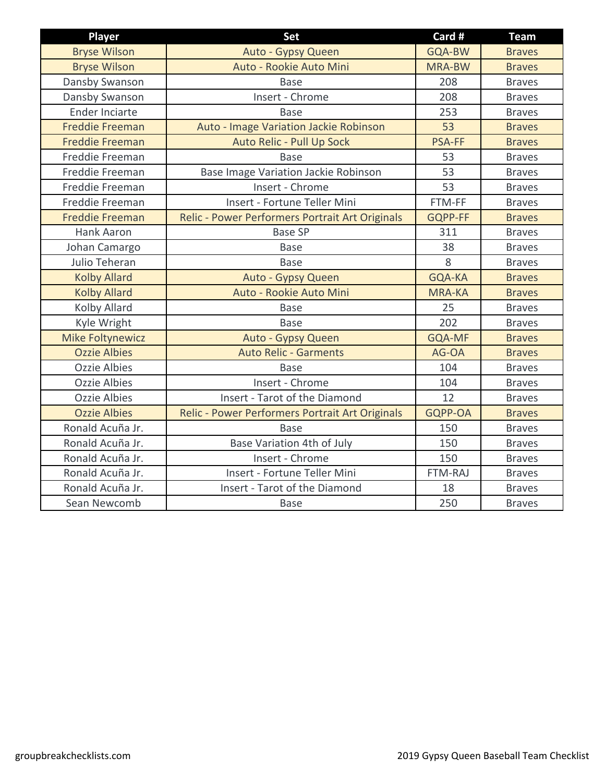| <b>Player</b>           | Set                                             | Card #        | <b>Team</b>   |
|-------------------------|-------------------------------------------------|---------------|---------------|
| <b>Bryse Wilson</b>     | Auto - Gypsy Queen                              | GQA-BW        | <b>Braves</b> |
| <b>Bryse Wilson</b>     | Auto - Rookie Auto Mini                         | <b>MRA-BW</b> | <b>Braves</b> |
| Dansby Swanson          | <b>Base</b>                                     | 208           | <b>Braves</b> |
| Dansby Swanson          | Insert - Chrome                                 | 208           | <b>Braves</b> |
| Ender Inciarte          | <b>Base</b>                                     | 253           | <b>Braves</b> |
| <b>Freddie Freeman</b>  | Auto - Image Variation Jackie Robinson          | 53            | <b>Braves</b> |
| <b>Freddie Freeman</b>  | Auto Relic - Pull Up Sock                       | <b>PSA-FF</b> | <b>Braves</b> |
| Freddie Freeman         | <b>Base</b>                                     | 53            | <b>Braves</b> |
| Freddie Freeman         | Base Image Variation Jackie Robinson            | 53            | <b>Braves</b> |
| Freddie Freeman         | Insert - Chrome                                 | 53            | <b>Braves</b> |
| Freddie Freeman         | Insert - Fortune Teller Mini                    | FTM-FF        | <b>Braves</b> |
| <b>Freddie Freeman</b>  | Relic - Power Performers Portrait Art Originals | GQPP-FF       | <b>Braves</b> |
| Hank Aaron              | <b>Base SP</b>                                  | 311           | <b>Braves</b> |
| Johan Camargo           | <b>Base</b>                                     | 38            | <b>Braves</b> |
| Julio Teheran           | <b>Base</b>                                     | 8             | <b>Braves</b> |
| <b>Kolby Allard</b>     | Auto - Gypsy Queen                              | GQA-KA        | <b>Braves</b> |
| <b>Kolby Allard</b>     | Auto - Rookie Auto Mini                         | <b>MRA-KA</b> | <b>Braves</b> |
| Kolby Allard            | <b>Base</b>                                     | 25            | <b>Braves</b> |
| Kyle Wright             | <b>Base</b>                                     | 202           | <b>Braves</b> |
| <b>Mike Foltynewicz</b> | Auto - Gypsy Queen                              | <b>GQA-MF</b> | <b>Braves</b> |
| <b>Ozzie Albies</b>     | <b>Auto Relic - Garments</b>                    | AG-OA         | <b>Braves</b> |
| <b>Ozzie Albies</b>     | <b>Base</b>                                     | 104           | <b>Braves</b> |
| <b>Ozzie Albies</b>     | Insert - Chrome                                 | 104           | <b>Braves</b> |
| <b>Ozzie Albies</b>     | Insert - Tarot of the Diamond                   | 12            | <b>Braves</b> |
| <b>Ozzie Albies</b>     | Relic - Power Performers Portrait Art Originals | GQPP-OA       | <b>Braves</b> |
| Ronald Acuña Jr.        | <b>Base</b>                                     | 150           | <b>Braves</b> |
| Ronald Acuña Jr.        | Base Variation 4th of July                      | 150           | <b>Braves</b> |
| Ronald Acuña Jr.        | Insert - Chrome                                 | 150           | <b>Braves</b> |
| Ronald Acuña Jr.        | Insert - Fortune Teller Mini                    | FTM-RAJ       | <b>Braves</b> |
| Ronald Acuña Jr.        | Insert - Tarot of the Diamond                   | 18            | <b>Braves</b> |
| Sean Newcomb            | <b>Base</b>                                     | 250           | <b>Braves</b> |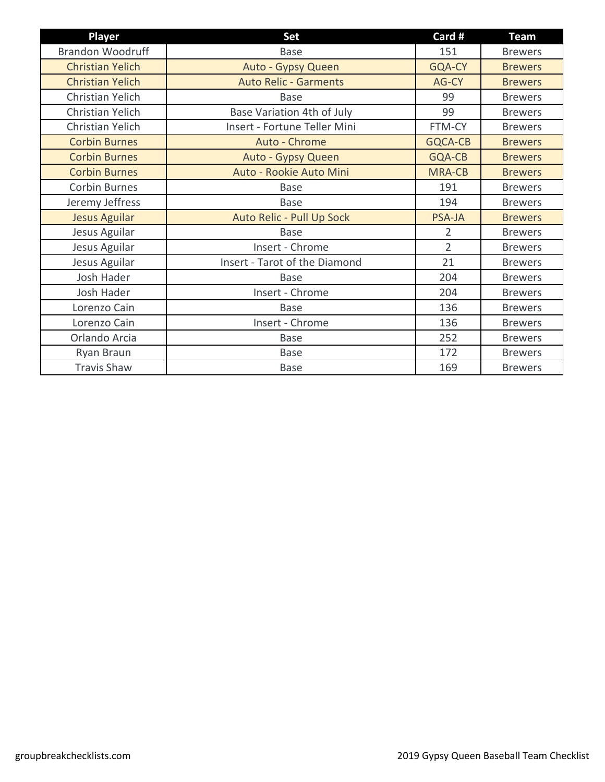| <b>Player</b>           | <b>Set</b>                    | Card #         | <b>Team</b>    |
|-------------------------|-------------------------------|----------------|----------------|
| <b>Brandon Woodruff</b> | <b>Base</b>                   | 151            | <b>Brewers</b> |
| <b>Christian Yelich</b> | Auto - Gypsy Queen            | GQA-CY         | <b>Brewers</b> |
| <b>Christian Yelich</b> | <b>Auto Relic - Garments</b>  | AG-CY          | <b>Brewers</b> |
| <b>Christian Yelich</b> | <b>Base</b>                   | 99             | <b>Brewers</b> |
| Christian Yelich        | Base Variation 4th of July    | 99             | <b>Brewers</b> |
| Christian Yelich        | Insert - Fortune Teller Mini  | FTM-CY         | <b>Brewers</b> |
| <b>Corbin Burnes</b>    | Auto - Chrome                 | <b>GQCA-CB</b> | <b>Brewers</b> |
| <b>Corbin Burnes</b>    | Auto - Gypsy Queen            | GQA-CB         | <b>Brewers</b> |
| <b>Corbin Burnes</b>    | Auto - Rookie Auto Mini       | <b>MRA-CB</b>  | <b>Brewers</b> |
| Corbin Burnes           | <b>Base</b>                   | 191            | <b>Brewers</b> |
| Jeremy Jeffress         | <b>Base</b>                   | 194            | <b>Brewers</b> |
| <b>Jesus Aguilar</b>    | Auto Relic - Pull Up Sock     | <b>PSA-JA</b>  | <b>Brewers</b> |
| Jesus Aguilar           | <b>Base</b>                   | $\overline{2}$ | <b>Brewers</b> |
| Jesus Aguilar           | Insert - Chrome               | $\overline{2}$ | <b>Brewers</b> |
| Jesus Aguilar           | Insert - Tarot of the Diamond | 21             | <b>Brewers</b> |
| Josh Hader              | <b>Base</b>                   | 204            | <b>Brewers</b> |
| Josh Hader              | Insert - Chrome               | 204            | <b>Brewers</b> |
| Lorenzo Cain            | <b>Base</b>                   | 136            | <b>Brewers</b> |
| Lorenzo Cain            | Insert - Chrome               | 136            | <b>Brewers</b> |
| Orlando Arcia           | <b>Base</b>                   | 252            | <b>Brewers</b> |
| Ryan Braun              | Base                          | 172            | <b>Brewers</b> |
| <b>Travis Shaw</b>      | <b>Base</b>                   | 169            | <b>Brewers</b> |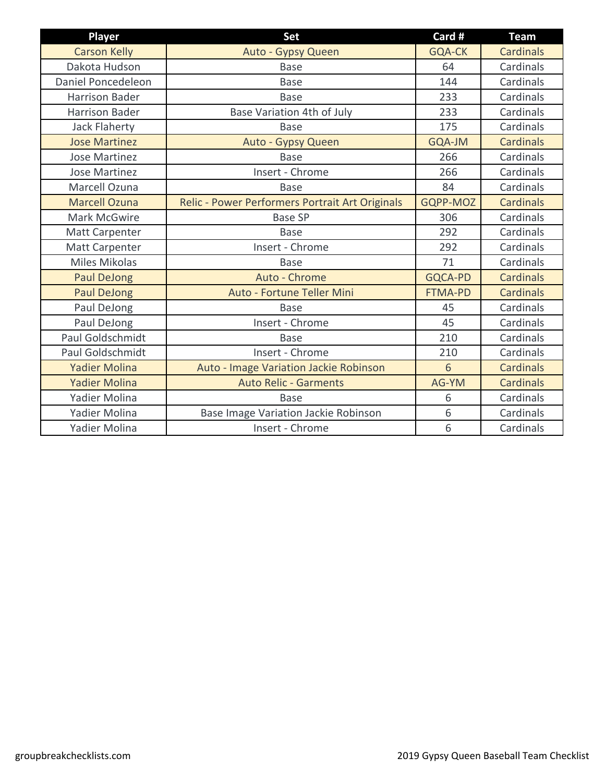| Player                | Set                                             | Card #         | <b>Team</b>      |
|-----------------------|-------------------------------------------------|----------------|------------------|
| <b>Carson Kelly</b>   | Auto - Gypsy Queen                              | <b>GQA-CK</b>  | <b>Cardinals</b> |
| Dakota Hudson         | <b>Base</b>                                     | 64             | Cardinals        |
| Daniel Poncedeleon    | <b>Base</b>                                     | 144            | Cardinals        |
| <b>Harrison Bader</b> | <b>Base</b>                                     | 233            | Cardinals        |
| <b>Harrison Bader</b> | Base Variation 4th of July                      | 233            | Cardinals        |
| <b>Jack Flaherty</b>  | <b>Base</b>                                     | 175            | Cardinals        |
| <b>Jose Martinez</b>  | Auto - Gypsy Queen                              | GQA-JM         | <b>Cardinals</b> |
| <b>Jose Martinez</b>  | <b>Base</b>                                     | 266            | Cardinals        |
| <b>Jose Martinez</b>  | Insert - Chrome                                 | 266            | Cardinals        |
| Marcell Ozuna         | <b>Base</b>                                     | 84             | Cardinals        |
| <b>Marcell Ozuna</b>  | Relic - Power Performers Portrait Art Originals | GQPP-MOZ       | <b>Cardinals</b> |
| Mark McGwire          | <b>Base SP</b>                                  | 306            | Cardinals        |
| <b>Matt Carpenter</b> | <b>Base</b>                                     | 292            | Cardinals        |
| <b>Matt Carpenter</b> | Insert - Chrome                                 | 292            | Cardinals        |
| <b>Miles Mikolas</b>  | <b>Base</b>                                     | 71             | Cardinals        |
| <b>Paul DeJong</b>    | Auto - Chrome                                   | <b>GQCA-PD</b> | <b>Cardinals</b> |
| <b>Paul DeJong</b>    | Auto - Fortune Teller Mini                      | <b>FTMA-PD</b> | <b>Cardinals</b> |
| Paul DeJong           | <b>Base</b>                                     | 45             | Cardinals        |
| Paul DeJong           | Insert - Chrome                                 | 45             | Cardinals        |
| Paul Goldschmidt      | <b>Base</b>                                     | 210            | Cardinals        |
| Paul Goldschmidt      | Insert - Chrome                                 | 210            | Cardinals        |
| <b>Yadier Molina</b>  | Auto - Image Variation Jackie Robinson          | 6              | <b>Cardinals</b> |
| <b>Yadier Molina</b>  | <b>Auto Relic - Garments</b>                    | AG-YM          | <b>Cardinals</b> |
| Yadier Molina         | <b>Base</b>                                     | 6              | Cardinals        |
| Yadier Molina         | Base Image Variation Jackie Robinson            | 6              | Cardinals        |
| Yadier Molina         | Insert - Chrome                                 | 6              | Cardinals        |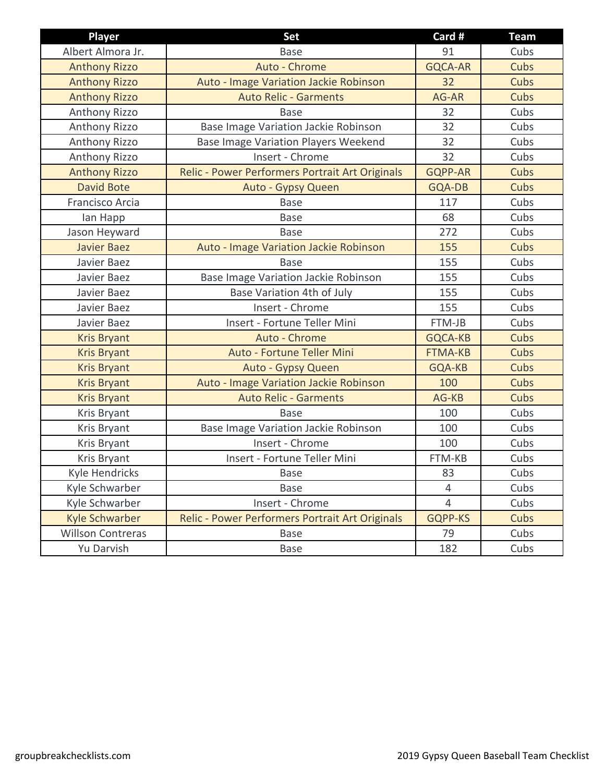| <b>Player</b>            | Set                                             | Card #         | <b>Team</b> |
|--------------------------|-------------------------------------------------|----------------|-------------|
| Albert Almora Jr.        | <b>Base</b>                                     | 91             | Cubs        |
| <b>Anthony Rizzo</b>     | Auto - Chrome                                   | <b>GQCA-AR</b> | Cubs        |
| <b>Anthony Rizzo</b>     | Auto - Image Variation Jackie Robinson          | 32             | Cubs        |
| <b>Anthony Rizzo</b>     | <b>Auto Relic - Garments</b>                    | AG-AR          | Cubs        |
| Anthony Rizzo            | <b>Base</b>                                     | 32             | Cubs        |
| Anthony Rizzo            | Base Image Variation Jackie Robinson            | 32             | Cubs        |
| Anthony Rizzo            | Base Image Variation Players Weekend            | 32             | Cubs        |
| <b>Anthony Rizzo</b>     | Insert - Chrome                                 | 32             | Cubs        |
| <b>Anthony Rizzo</b>     | Relic - Power Performers Portrait Art Originals | <b>GQPP-AR</b> | Cubs        |
| <b>David Bote</b>        | Auto - Gypsy Queen                              | GQA-DB         | Cubs        |
| Francisco Arcia          | <b>Base</b>                                     | 117            | Cubs        |
| lan Happ                 | <b>Base</b>                                     | 68             | Cubs        |
| Jason Heyward            | <b>Base</b>                                     | 272            | Cubs        |
| <b>Javier Baez</b>       | Auto - Image Variation Jackie Robinson          | 155            | Cubs        |
| Javier Baez              | <b>Base</b>                                     | 155            | Cubs        |
| Javier Baez              | Base Image Variation Jackie Robinson            | 155            | Cubs        |
| Javier Baez              | Base Variation 4th of July                      | 155            | Cubs        |
| Javier Baez              | Insert - Chrome                                 | 155            | Cubs        |
| Javier Baez              | Insert - Fortune Teller Mini                    | FTM-JB         | Cubs        |
| <b>Kris Bryant</b>       | Auto - Chrome                                   | GQCA-KB        | Cubs        |
| <b>Kris Bryant</b>       | Auto - Fortune Teller Mini                      | <b>FTMA-KB</b> | Cubs        |
| <b>Kris Bryant</b>       | Auto - Gypsy Queen                              | GQA-KB         | Cubs        |
| <b>Kris Bryant</b>       | Auto - Image Variation Jackie Robinson          | 100            | Cubs        |
| <b>Kris Bryant</b>       | <b>Auto Relic - Garments</b>                    | AG-KB          | Cubs        |
| Kris Bryant              | <b>Base</b>                                     | 100            | Cubs        |
| Kris Bryant              | Base Image Variation Jackie Robinson            | 100            | Cubs        |
| Kris Bryant              | Insert - Chrome                                 | 100            | Cubs        |
| Kris Bryant              | Insert - Fortune Teller Mini                    | FTM-KB         | Cubs        |
| Kyle Hendricks           | <b>Base</b>                                     | 83             | Cubs        |
| Kyle Schwarber           | <b>Base</b>                                     | 4              | Cubs        |
| Kyle Schwarber           | Insert - Chrome                                 | 4              | Cubs        |
| Kyle Schwarber           | Relic - Power Performers Portrait Art Originals | <b>GQPP-KS</b> | Cubs        |
| <b>Willson Contreras</b> | <b>Base</b>                                     | 79             | Cubs        |
| Yu Darvish               | Base                                            | 182            | Cubs        |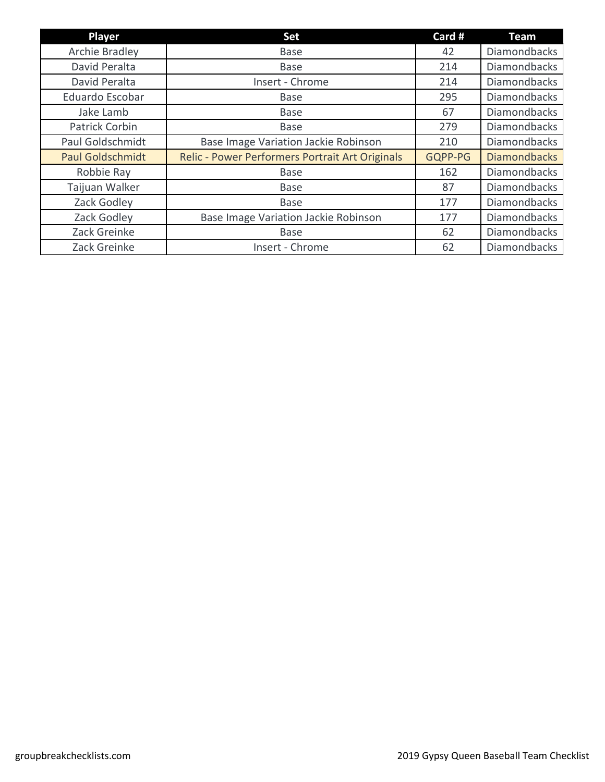| Player                  | <b>Set</b>                                      | Card #  | <b>Team</b>         |
|-------------------------|-------------------------------------------------|---------|---------------------|
| Archie Bradley          | <b>Base</b>                                     | 42      | <b>Diamondbacks</b> |
| David Peralta           | <b>Base</b>                                     | 214     | <b>Diamondbacks</b> |
| David Peralta           | Insert - Chrome                                 | 214     | <b>Diamondbacks</b> |
| Eduardo Escobar         | <b>Base</b>                                     | 295     | <b>Diamondbacks</b> |
| Jake Lamb               | <b>Base</b>                                     | 67      | <b>Diamondbacks</b> |
| Patrick Corbin          | <b>Base</b>                                     | 279     | <b>Diamondbacks</b> |
| Paul Goldschmidt        | Base Image Variation Jackie Robinson            | 210     | <b>Diamondbacks</b> |
| <b>Paul Goldschmidt</b> | Relic - Power Performers Portrait Art Originals | GQPP-PG | <b>Diamondbacks</b> |
| Robbie Ray              | <b>Base</b>                                     | 162     | <b>Diamondbacks</b> |
| Taijuan Walker          | <b>Base</b>                                     | 87      | <b>Diamondbacks</b> |
| Zack Godley             | <b>Base</b>                                     | 177     | <b>Diamondbacks</b> |
| Zack Godley             | Base Image Variation Jackie Robinson            | 177     | <b>Diamondbacks</b> |
| Zack Greinke            | <b>Base</b>                                     | 62      | <b>Diamondbacks</b> |
| Zack Greinke            | Insert - Chrome                                 | 62      | <b>Diamondbacks</b> |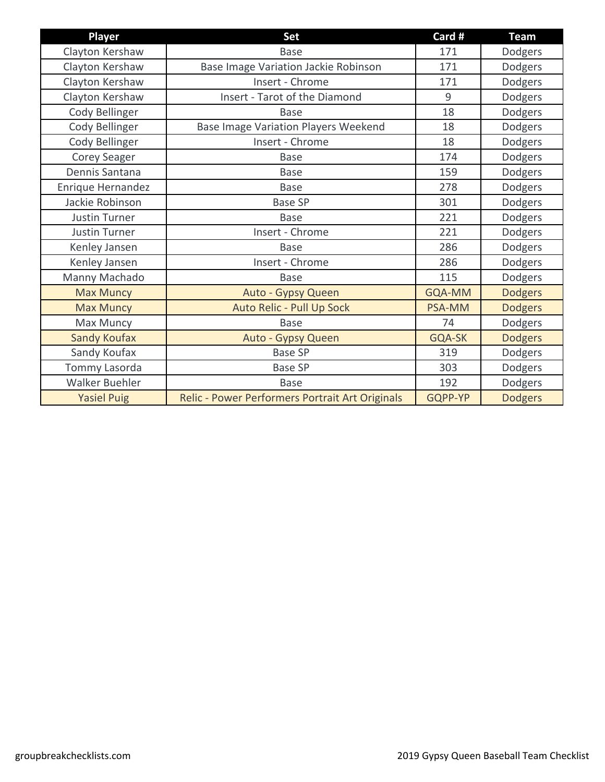| Player                | <b>Set</b>                                      | Card #  | <b>Team</b>    |
|-----------------------|-------------------------------------------------|---------|----------------|
| Clayton Kershaw       | <b>Base</b>                                     | 171     | Dodgers        |
| Clayton Kershaw       | Base Image Variation Jackie Robinson            | 171     | Dodgers        |
| Clayton Kershaw       | Insert - Chrome                                 | 171     | Dodgers        |
| Clayton Kershaw       | Insert - Tarot of the Diamond                   | 9       | Dodgers        |
| Cody Bellinger        | <b>Base</b>                                     | 18      | Dodgers        |
| Cody Bellinger        | <b>Base Image Variation Players Weekend</b>     | 18      | Dodgers        |
| Cody Bellinger        | Insert - Chrome                                 | 18      | Dodgers        |
| Corey Seager          | <b>Base</b>                                     | 174     | Dodgers        |
| Dennis Santana        | <b>Base</b>                                     | 159     | Dodgers        |
| Enrique Hernandez     | <b>Base</b>                                     | 278     | Dodgers        |
| Jackie Robinson       | <b>Base SP</b>                                  | 301     | Dodgers        |
| <b>Justin Turner</b>  | <b>Base</b>                                     | 221     | Dodgers        |
| <b>Justin Turner</b>  | Insert - Chrome                                 | 221     | Dodgers        |
| Kenley Jansen         | <b>Base</b>                                     | 286     | Dodgers        |
| Kenley Jansen         | Insert - Chrome                                 | 286     | Dodgers        |
| Manny Machado         | <b>Base</b>                                     | 115     | Dodgers        |
| <b>Max Muncy</b>      | Auto - Gypsy Queen                              | GQA-MM  | <b>Dodgers</b> |
| <b>Max Muncy</b>      | Auto Relic - Pull Up Sock                       | PSA-MM  | <b>Dodgers</b> |
| Max Muncy             | <b>Base</b>                                     | 74      | Dodgers        |
| <b>Sandy Koufax</b>   | Auto - Gypsy Queen                              | GQA-SK  | <b>Dodgers</b> |
| Sandy Koufax          | <b>Base SP</b>                                  | 319     | Dodgers        |
| Tommy Lasorda         | <b>Base SP</b>                                  | 303     | Dodgers        |
| <b>Walker Buehler</b> | <b>Base</b>                                     | 192     | Dodgers        |
| <b>Yasiel Puig</b>    | Relic - Power Performers Portrait Art Originals | GQPP-YP | <b>Dodgers</b> |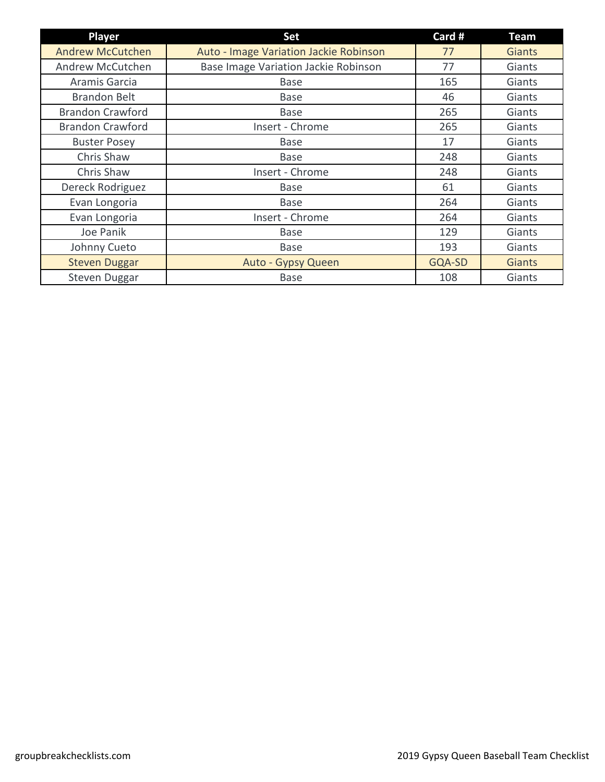| <b>Player</b>           | <b>Set</b>                             | Card # | <b>Team</b>   |
|-------------------------|----------------------------------------|--------|---------------|
| <b>Andrew McCutchen</b> | Auto - Image Variation Jackie Robinson | 77     | <b>Giants</b> |
| Andrew McCutchen        | Base Image Variation Jackie Robinson   | 77     | Giants        |
| Aramis Garcia           | <b>Base</b>                            | 165    | Giants        |
| <b>Brandon Belt</b>     | <b>Base</b>                            | 46     | Giants        |
| <b>Brandon Crawford</b> | <b>Base</b>                            | 265    | Giants        |
| <b>Brandon Crawford</b> | Insert - Chrome                        | 265    | Giants        |
| <b>Buster Posey</b>     | <b>Base</b>                            | 17     | Giants        |
| Chris Shaw              | Base                                   | 248    | Giants        |
| Chris Shaw              | Insert - Chrome                        | 248    | Giants        |
| Dereck Rodriguez        | <b>Base</b>                            | 61     | Giants        |
| Evan Longoria           | <b>Base</b>                            | 264    | Giants        |
| Evan Longoria           | Insert - Chrome                        | 264    | Giants        |
| Joe Panik               | <b>Base</b>                            | 129    | Giants        |
| Johnny Cueto            | <b>Base</b>                            | 193    | Giants        |
| <b>Steven Duggar</b>    | Auto - Gypsy Queen                     | GQA-SD | <b>Giants</b> |
| Steven Duggar           | <b>Base</b>                            | 108    | Giants        |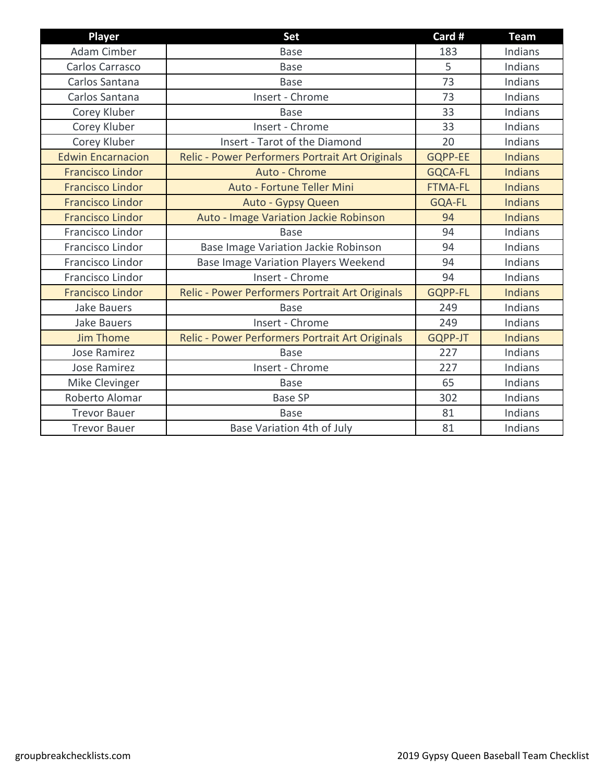| <b>Player</b>            | <b>Set</b>                                      | Card #         | <b>Team</b>    |
|--------------------------|-------------------------------------------------|----------------|----------------|
| Adam Cimber              | <b>Base</b>                                     | 183            | Indians        |
| Carlos Carrasco          | <b>Base</b>                                     | 5              | Indians        |
| Carlos Santana           | <b>Base</b>                                     | 73             | Indians        |
| Carlos Santana           | Insert - Chrome                                 | 73             | Indians        |
| Corey Kluber             | <b>Base</b>                                     | 33             | Indians        |
| Corey Kluber             | Insert - Chrome                                 | 33             | Indians        |
| Corey Kluber             | Insert - Tarot of the Diamond                   | 20             | Indians        |
| <b>Edwin Encarnacion</b> | Relic - Power Performers Portrait Art Originals | <b>GQPP-EE</b> | <b>Indians</b> |
| <b>Francisco Lindor</b>  | Auto - Chrome                                   | <b>GQCA-FL</b> | <b>Indians</b> |
| <b>Francisco Lindor</b>  | Auto - Fortune Teller Mini                      | <b>FTMA-FL</b> | <b>Indians</b> |
| <b>Francisco Lindor</b>  | Auto - Gypsy Queen                              | <b>GQA-FL</b>  | <b>Indians</b> |
| <b>Francisco Lindor</b>  | Auto - Image Variation Jackie Robinson          | 94             | <b>Indians</b> |
| Francisco Lindor         | <b>Base</b>                                     | 94             | Indians        |
| Francisco Lindor         | Base Image Variation Jackie Robinson            | 94             | Indians        |
| Francisco Lindor         | <b>Base Image Variation Players Weekend</b>     | 94             | Indians        |
| Francisco Lindor         | Insert - Chrome                                 | 94             | Indians        |
| <b>Francisco Lindor</b>  | Relic - Power Performers Portrait Art Originals | <b>GQPP-FL</b> | <b>Indians</b> |
| <b>Jake Bauers</b>       | <b>Base</b>                                     | 249            | Indians        |
| <b>Jake Bauers</b>       | Insert - Chrome                                 | 249            | Indians        |
| <b>Jim Thome</b>         | Relic - Power Performers Portrait Art Originals | GQPP-JT        | <b>Indians</b> |
| <b>Jose Ramirez</b>      | <b>Base</b>                                     | 227            | Indians        |
| Jose Ramirez             | Insert - Chrome                                 | 227            | Indians        |
| Mike Clevinger           | <b>Base</b>                                     | 65             | Indians        |
| Roberto Alomar           | <b>Base SP</b>                                  | 302            | Indians        |
| <b>Trevor Bauer</b>      | <b>Base</b>                                     | 81             | Indians        |
| <b>Trevor Bauer</b>      | Base Variation 4th of July                      | 81             | Indians        |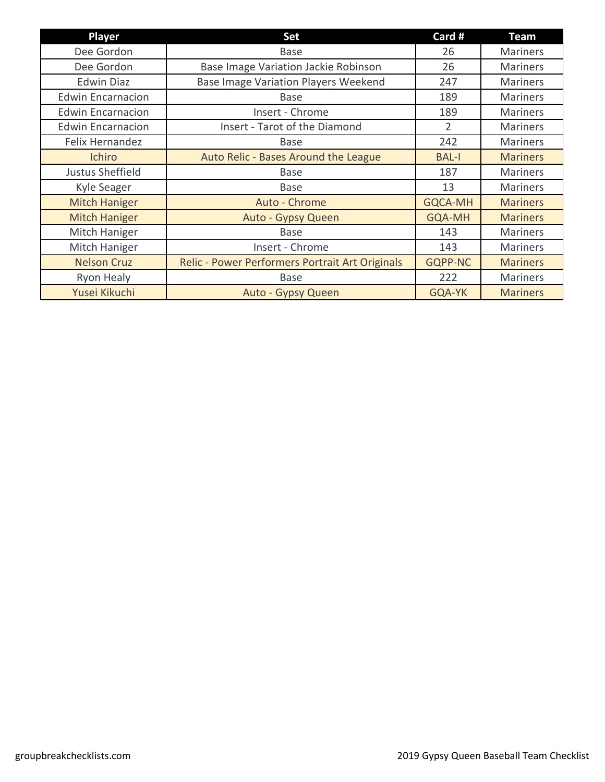| <b>Player</b>            | <b>Set</b>                                      | Card #         | Team            |
|--------------------------|-------------------------------------------------|----------------|-----------------|
| Dee Gordon               | <b>Base</b>                                     | 26             | <b>Mariners</b> |
| Dee Gordon               | Base Image Variation Jackie Robinson            | 26             | <b>Mariners</b> |
| <b>Edwin Diaz</b>        | <b>Base Image Variation Players Weekend</b>     | 247            | <b>Mariners</b> |
| <b>Edwin Encarnacion</b> | <b>Base</b>                                     | 189            | <b>Mariners</b> |
| <b>Edwin Encarnacion</b> | Insert - Chrome                                 | 189            | <b>Mariners</b> |
| <b>Edwin Encarnacion</b> | Insert - Tarot of the Diamond                   | $\overline{2}$ | <b>Mariners</b> |
| Felix Hernandez          | <b>Base</b>                                     | 242            | <b>Mariners</b> |
| <b>Ichiro</b>            | Auto Relic - Bases Around the League            | <b>BAL-I</b>   | <b>Mariners</b> |
| Justus Sheffield         | <b>Base</b>                                     | 187            | <b>Mariners</b> |
| Kyle Seager              | <b>Base</b>                                     | 13             | <b>Mariners</b> |
| <b>Mitch Haniger</b>     | Auto - Chrome                                   | <b>GQCA-MH</b> | <b>Mariners</b> |
| <b>Mitch Haniger</b>     | Auto - Gypsy Queen                              | <b>GQA-MH</b>  | <b>Mariners</b> |
| Mitch Haniger            | <b>Base</b>                                     | 143            | <b>Mariners</b> |
| Mitch Haniger            | Insert - Chrome                                 | 143            | <b>Mariners</b> |
| <b>Nelson Cruz</b>       | Relic - Power Performers Portrait Art Originals | <b>GQPP-NC</b> | <b>Mariners</b> |
| Ryon Healy               | <b>Base</b>                                     | 222            | <b>Mariners</b> |
| Yusei Kikuchi            | Auto - Gypsy Queen                              | GQA-YK         | <b>Mariners</b> |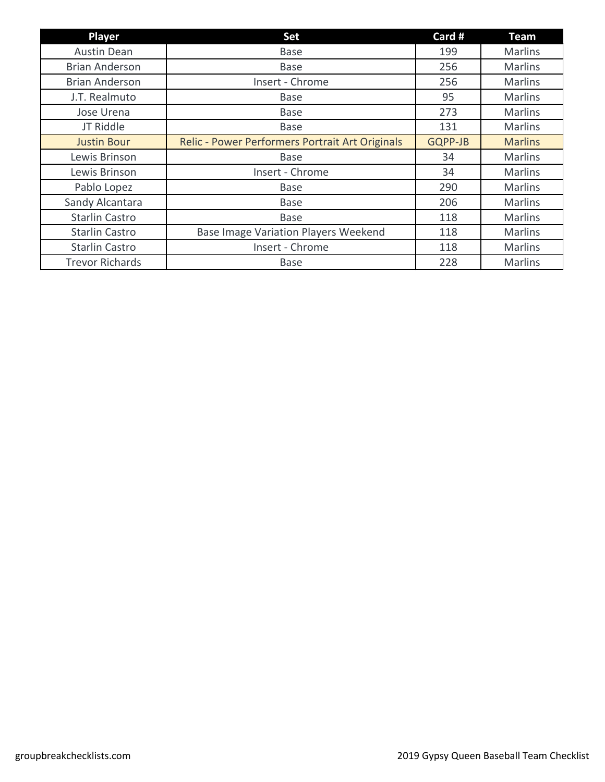| <b>Player</b>          | <b>Set</b>                                      | Card #  | <b>Team</b>    |
|------------------------|-------------------------------------------------|---------|----------------|
| <b>Austin Dean</b>     | <b>Base</b>                                     | 199     | <b>Marlins</b> |
| <b>Brian Anderson</b>  | <b>Base</b>                                     | 256     | <b>Marlins</b> |
| <b>Brian Anderson</b>  | Insert - Chrome                                 | 256     | <b>Marlins</b> |
| J.T. Realmuto          | <b>Base</b>                                     | 95      | <b>Marlins</b> |
| Jose Urena             | <b>Base</b>                                     | 273     | <b>Marlins</b> |
| JT Riddle              | <b>Base</b>                                     | 131     | <b>Marlins</b> |
| <b>Justin Bour</b>     | Relic - Power Performers Portrait Art Originals | GQPP-JB | <b>Marlins</b> |
| Lewis Brinson          | <b>Base</b>                                     | 34      | <b>Marlins</b> |
| Lewis Brinson          | Insert - Chrome                                 | 34      | <b>Marlins</b> |
| Pablo Lopez            | <b>Base</b>                                     | 290     | <b>Marlins</b> |
| Sandy Alcantara        | <b>Base</b>                                     | 206     | <b>Marlins</b> |
| <b>Starlin Castro</b>  | <b>Base</b>                                     | 118     | <b>Marlins</b> |
| <b>Starlin Castro</b>  | <b>Base Image Variation Players Weekend</b>     | 118     | <b>Marlins</b> |
| <b>Starlin Castro</b>  | Insert - Chrome                                 | 118     | <b>Marlins</b> |
| <b>Trevor Richards</b> | <b>Base</b>                                     | 228     | <b>Marlins</b> |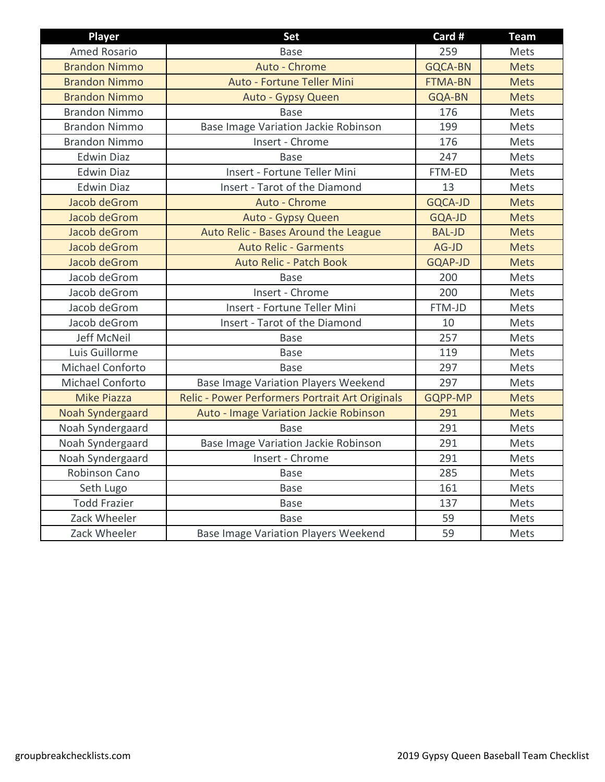| Player                  | <b>Set</b>                                      | Card #         | <b>Team</b> |
|-------------------------|-------------------------------------------------|----------------|-------------|
| <b>Amed Rosario</b>     | <b>Base</b>                                     | 259            | Mets        |
| <b>Brandon Nimmo</b>    | Auto - Chrome                                   | <b>GQCA-BN</b> | <b>Mets</b> |
| <b>Brandon Nimmo</b>    | Auto - Fortune Teller Mini                      | <b>FTMA-BN</b> | <b>Mets</b> |
| <b>Brandon Nimmo</b>    | Auto - Gypsy Queen                              | <b>GQA-BN</b>  | <b>Mets</b> |
| <b>Brandon Nimmo</b>    | <b>Base</b>                                     | 176            | Mets        |
| <b>Brandon Nimmo</b>    | Base Image Variation Jackie Robinson            | 199            | Mets        |
| <b>Brandon Nimmo</b>    | Insert - Chrome                                 | 176            | Mets        |
| <b>Edwin Diaz</b>       | <b>Base</b>                                     | 247            | Mets        |
| <b>Edwin Diaz</b>       | Insert - Fortune Teller Mini                    | FTM-ED         | Mets        |
| <b>Edwin Diaz</b>       | Insert - Tarot of the Diamond                   | 13             | Mets        |
| Jacob deGrom            | Auto - Chrome                                   | <b>GQCA-JD</b> | <b>Mets</b> |
| Jacob deGrom            | Auto - Gypsy Queen                              | GQA-JD         | <b>Mets</b> |
| Jacob deGrom            | Auto Relic - Bases Around the League            | <b>BAL-JD</b>  | <b>Mets</b> |
| Jacob deGrom            | <b>Auto Relic - Garments</b>                    | AG-JD          | <b>Mets</b> |
| Jacob deGrom            | <b>Auto Relic - Patch Book</b>                  | <b>GQAP-JD</b> | <b>Mets</b> |
| Jacob deGrom            | Base                                            | 200            | Mets        |
| Jacob deGrom            | Insert - Chrome                                 | 200            | Mets        |
| Jacob deGrom            | Insert - Fortune Teller Mini                    | FTM-JD         | Mets        |
| Jacob deGrom            | Insert - Tarot of the Diamond                   | 10             | Mets        |
| Jeff McNeil             | <b>Base</b>                                     | 257            | Mets        |
| Luis Guillorme          | <b>Base</b>                                     | 119            | Mets        |
| Michael Conforto        | <b>Base</b>                                     | 297            | Mets        |
| Michael Conforto        | <b>Base Image Variation Players Weekend</b>     | 297            | Mets        |
| <b>Mike Piazza</b>      | Relic - Power Performers Portrait Art Originals | GQPP-MP        | <b>Mets</b> |
| <b>Noah Syndergaard</b> | Auto - Image Variation Jackie Robinson          | 291            | <b>Mets</b> |
| Noah Syndergaard        | <b>Base</b>                                     | 291            | Mets        |
| Noah Syndergaard        | Base Image Variation Jackie Robinson            | 291            | Mets        |
| Noah Syndergaard        | Insert - Chrome                                 | 291            | Mets        |
| Robinson Cano           | <b>Base</b>                                     | 285            | Mets        |
| Seth Lugo               | <b>Base</b>                                     | 161            | Mets        |
| <b>Todd Frazier</b>     | <b>Base</b>                                     | 137            | Mets        |
| Zack Wheeler            | <b>Base</b>                                     | 59             | Mets        |
| Zack Wheeler            | <b>Base Image Variation Players Weekend</b>     | 59             | Mets        |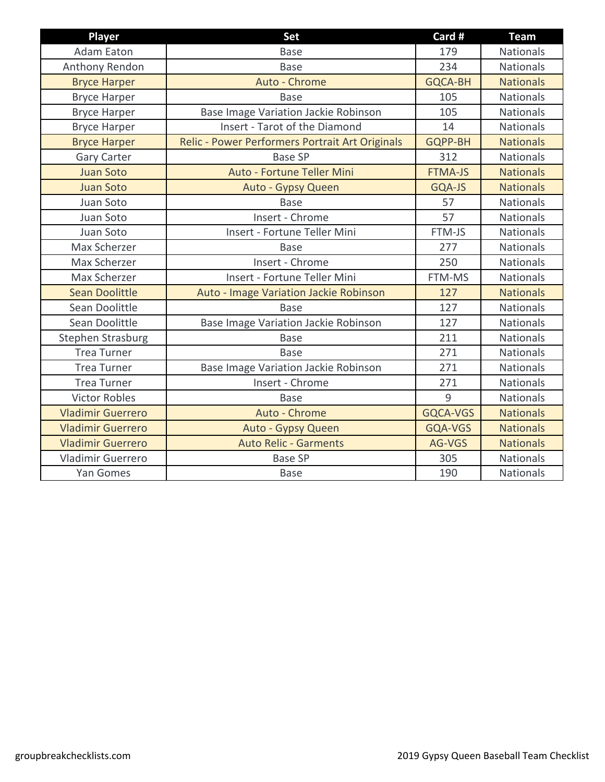| <b>Player</b>            | Set                                             | Card #         | <b>Team</b>      |
|--------------------------|-------------------------------------------------|----------------|------------------|
| <b>Adam Eaton</b>        | <b>Base</b>                                     | 179            | Nationals        |
| Anthony Rendon           | <b>Base</b>                                     | 234            | <b>Nationals</b> |
| <b>Bryce Harper</b>      | Auto - Chrome                                   | <b>GQCA-BH</b> | <b>Nationals</b> |
| <b>Bryce Harper</b>      | <b>Base</b>                                     | 105            | <b>Nationals</b> |
| <b>Bryce Harper</b>      | Base Image Variation Jackie Robinson            | 105            | Nationals        |
| <b>Bryce Harper</b>      | Insert - Tarot of the Diamond                   | 14             | <b>Nationals</b> |
| <b>Bryce Harper</b>      | Relic - Power Performers Portrait Art Originals | GQPP-BH        | <b>Nationals</b> |
| <b>Gary Carter</b>       | <b>Base SP</b>                                  | 312            | <b>Nationals</b> |
| <b>Juan Soto</b>         | Auto - Fortune Teller Mini                      | <b>FTMA-JS</b> | <b>Nationals</b> |
| <b>Juan Soto</b>         | Auto - Gypsy Queen                              | GQA-JS         | <b>Nationals</b> |
| Juan Soto                | <b>Base</b>                                     | 57             | <b>Nationals</b> |
| Juan Soto                | Insert - Chrome                                 | 57             | <b>Nationals</b> |
| Juan Soto                | Insert - Fortune Teller Mini                    | FTM-JS         | <b>Nationals</b> |
| Max Scherzer             | <b>Base</b>                                     | 277            | <b>Nationals</b> |
| Max Scherzer             | Insert - Chrome                                 | 250            | <b>Nationals</b> |
| Max Scherzer             | Insert - Fortune Teller Mini                    | FTM-MS         | <b>Nationals</b> |
| <b>Sean Doolittle</b>    | Auto - Image Variation Jackie Robinson          | 127            | <b>Nationals</b> |
| Sean Doolittle           | <b>Base</b>                                     | 127            | Nationals        |
| Sean Doolittle           | Base Image Variation Jackie Robinson            | 127            | <b>Nationals</b> |
| Stephen Strasburg        | <b>Base</b>                                     | 211            | Nationals        |
| <b>Trea Turner</b>       | <b>Base</b>                                     | 271            | Nationals        |
| <b>Trea Turner</b>       | Base Image Variation Jackie Robinson            | 271            | Nationals        |
| <b>Trea Turner</b>       | Insert - Chrome                                 | 271            | <b>Nationals</b> |
| <b>Victor Robles</b>     | <b>Base</b>                                     | 9              | <b>Nationals</b> |
| <b>Vladimir Guerrero</b> | Auto - Chrome                                   | GQCA-VGS       | <b>Nationals</b> |
| <b>Vladimir Guerrero</b> | Auto - Gypsy Queen                              | GQA-VGS        | <b>Nationals</b> |
| <b>Vladimir Guerrero</b> | <b>Auto Relic - Garments</b>                    | AG-VGS         | <b>Nationals</b> |
| Vladimir Guerrero        | <b>Base SP</b>                                  | 305            | <b>Nationals</b> |
| Yan Gomes                | <b>Base</b>                                     | 190            | Nationals        |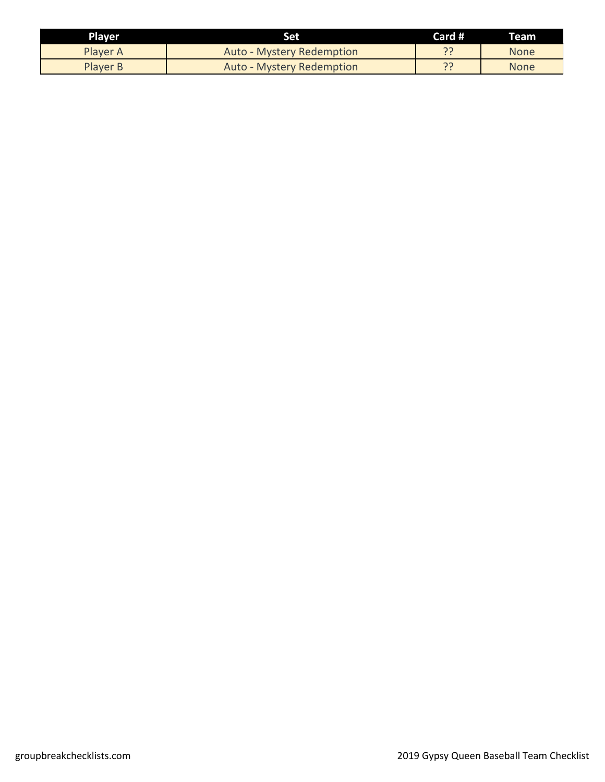| <b>Player</b>   | Set                              | Card # | Team |
|-----------------|----------------------------------|--------|------|
| Player A        | <b>Auto - Mystery Redemption</b> |        | None |
| <b>Player B</b> | <b>Auto - Mystery Redemption</b> |        | None |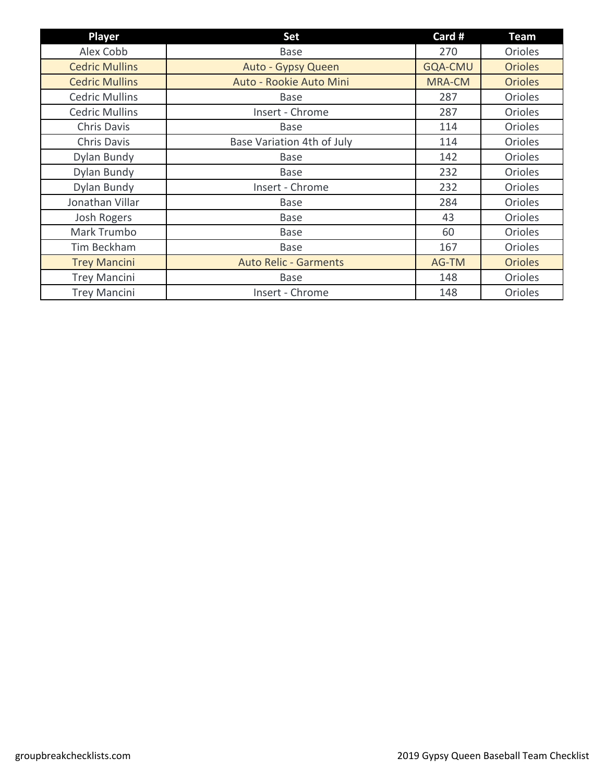| Player                | <b>Set</b>                   | Card #         | <b>Team</b>    |
|-----------------------|------------------------------|----------------|----------------|
| Alex Cobb             | <b>Base</b>                  | 270            | Orioles        |
| <b>Cedric Mullins</b> | Auto - Gypsy Queen           | <b>GQA-CMU</b> | <b>Orioles</b> |
| <b>Cedric Mullins</b> | Auto - Rookie Auto Mini      | <b>MRA-CM</b>  | <b>Orioles</b> |
| <b>Cedric Mullins</b> | <b>Base</b>                  | 287            | <b>Orioles</b> |
| <b>Cedric Mullins</b> | Insert - Chrome              | 287            | <b>Orioles</b> |
| Chris Davis           | Base                         | 114            | <b>Orioles</b> |
| Chris Davis           | Base Variation 4th of July   | 114            | Orioles        |
| Dylan Bundy           | <b>Base</b>                  | 142            | Orioles        |
| Dylan Bundy           | <b>Base</b>                  | 232            | Orioles        |
| Dylan Bundy           | Insert - Chrome              | 232            | Orioles        |
| Jonathan Villar       | <b>Base</b>                  | 284            | <b>Orioles</b> |
| Josh Rogers           | <b>Base</b>                  | 43             | Orioles        |
| Mark Trumbo           | <b>Base</b>                  | 60             | Orioles        |
| Tim Beckham           | <b>Base</b>                  | 167            | <b>Orioles</b> |
| <b>Trey Mancini</b>   | <b>Auto Relic - Garments</b> | AG-TM          | <b>Orioles</b> |
| <b>Trey Mancini</b>   | <b>Base</b>                  | 148            | Orioles        |
| <b>Trey Mancini</b>   | Insert - Chrome              | 148            | <b>Orioles</b> |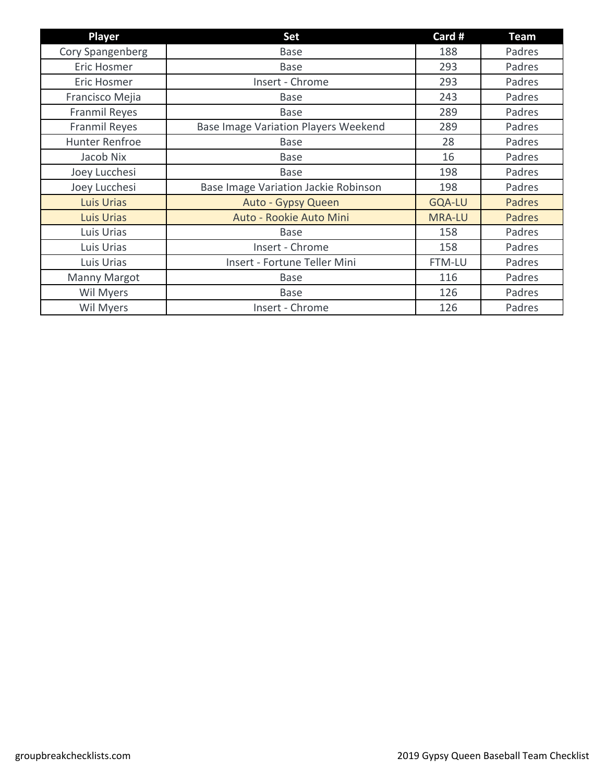| Player            | <b>Set</b>                                  | Card #        | <b>Team</b> |
|-------------------|---------------------------------------------|---------------|-------------|
| Cory Spangenberg  | <b>Base</b>                                 | 188           | Padres      |
| Eric Hosmer       | <b>Base</b>                                 | 293           | Padres      |
| Eric Hosmer       | Insert - Chrome                             | 293           | Padres      |
| Francisco Mejia   | Base                                        | 243           | Padres      |
| Franmil Reyes     | <b>Base</b>                                 | 289           | Padres      |
| Franmil Reyes     | <b>Base Image Variation Players Weekend</b> | 289           | Padres      |
| Hunter Renfroe    | <b>Base</b>                                 | 28            | Padres      |
| Jacob Nix         | <b>Base</b>                                 | 16            | Padres      |
| Joey Lucchesi     | <b>Base</b>                                 | 198           | Padres      |
| Joey Lucchesi     | Base Image Variation Jackie Robinson        | 198           | Padres      |
| <b>Luis Urias</b> | Auto - Gypsy Queen                          | <b>GQA-LU</b> | Padres      |
| <b>Luis Urias</b> | Auto - Rookie Auto Mini                     | <b>MRA-LU</b> | Padres      |
| Luis Urias        | <b>Base</b>                                 | 158           | Padres      |
| Luis Urias        | Insert - Chrome                             | 158           | Padres      |
| Luis Urias        | Insert - Fortune Teller Mini                | FTM-LU        | Padres      |
| Manny Margot      | <b>Base</b>                                 | 116           | Padres      |
| Wil Myers         | <b>Base</b>                                 | 126           | Padres      |
| Wil Myers         | Insert - Chrome                             | 126           | Padres      |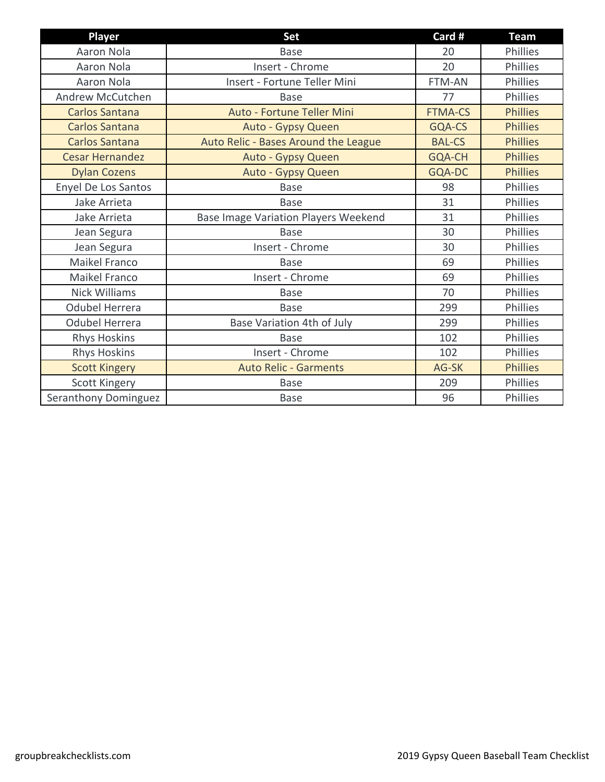| Player                 | Set                                         | Card #         | <b>Team</b>     |
|------------------------|---------------------------------------------|----------------|-----------------|
| Aaron Nola             | <b>Base</b>                                 | 20             | Phillies        |
| Aaron Nola             | Insert - Chrome                             | 20             | Phillies        |
| <b>Aaron Nola</b>      | Insert - Fortune Teller Mini                | <b>FTM-AN</b>  | Phillies        |
| Andrew McCutchen       | <b>Base</b>                                 | 77             | Phillies        |
| <b>Carlos Santana</b>  | Auto - Fortune Teller Mini                  | <b>FTMA-CS</b> | <b>Phillies</b> |
| <b>Carlos Santana</b>  | Auto - Gypsy Queen                          | GQA-CS         | <b>Phillies</b> |
| <b>Carlos Santana</b>  | Auto Relic - Bases Around the League        | <b>BAL-CS</b>  | <b>Phillies</b> |
| <b>Cesar Hernandez</b> | Auto - Gypsy Queen                          | <b>GQA-CH</b>  | <b>Phillies</b> |
| <b>Dylan Cozens</b>    | Auto - Gypsy Queen                          | GQA-DC         | <b>Phillies</b> |
| Enyel De Los Santos    | <b>Base</b>                                 | 98             | Phillies        |
| Jake Arrieta           | <b>Base</b>                                 | 31             | Phillies        |
| Jake Arrieta           | <b>Base Image Variation Players Weekend</b> | 31             | Phillies        |
| Jean Segura            | <b>Base</b>                                 | 30             | Phillies        |
| Jean Segura            | Insert - Chrome                             | 30             | Phillies        |
| Maikel Franco          | <b>Base</b>                                 | 69             | Phillies        |
| Maikel Franco          | Insert - Chrome                             | 69             | Phillies        |
| <b>Nick Williams</b>   | <b>Base</b>                                 | 70             | Phillies        |
| <b>Odubel Herrera</b>  | <b>Base</b>                                 | 299            | Phillies        |
| <b>Odubel Herrera</b>  | Base Variation 4th of July                  | 299            | Phillies        |
| <b>Rhys Hoskins</b>    | Base                                        | 102            | <b>Phillies</b> |
| <b>Rhys Hoskins</b>    | Insert - Chrome                             | 102            | Phillies        |
| <b>Scott Kingery</b>   | <b>Auto Relic - Garments</b>                | AG-SK          | <b>Phillies</b> |
| Scott Kingery          | <b>Base</b>                                 | 209            | Phillies        |
| Seranthony Dominguez   | <b>Base</b>                                 | 96             | Phillies        |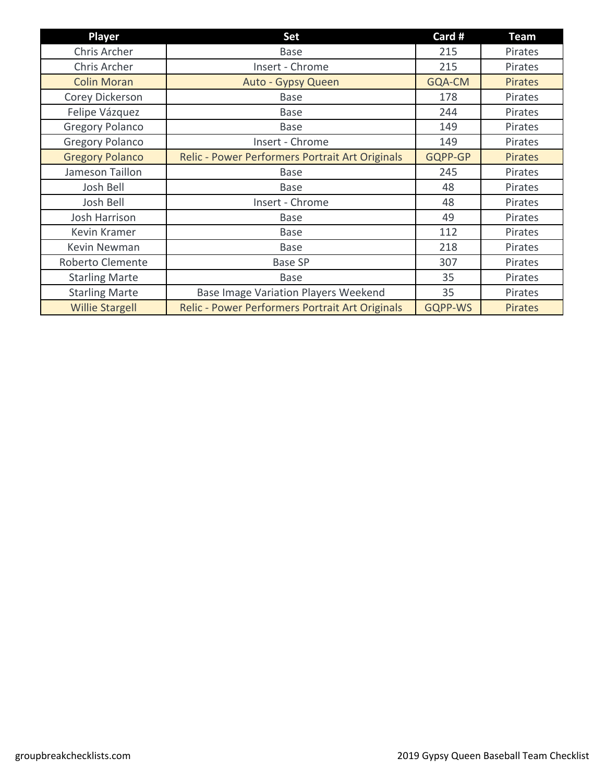| Player                 | <b>Set</b>                                      | Card #         | Team           |
|------------------------|-------------------------------------------------|----------------|----------------|
| Chris Archer           | <b>Base</b>                                     | 215            | Pirates        |
| Chris Archer           | Insert - Chrome                                 | 215            | Pirates        |
| <b>Colin Moran</b>     | Auto - Gypsy Queen                              | GQA-CM         | <b>Pirates</b> |
| Corey Dickerson        | Base                                            | 178            | Pirates        |
| Felipe Vázquez         | <b>Base</b>                                     | 244            | Pirates        |
| <b>Gregory Polanco</b> | <b>Base</b>                                     | 149            | Pirates        |
| <b>Gregory Polanco</b> | Insert - Chrome                                 | 149            | Pirates        |
| <b>Gregory Polanco</b> | Relic - Power Performers Portrait Art Originals | GQPP-GP        | <b>Pirates</b> |
| Jameson Taillon        | <b>Base</b>                                     | 245            | Pirates        |
| Josh Bell              | <b>Base</b>                                     | 48             | Pirates        |
| Josh Bell              | Insert - Chrome                                 | 48             | Pirates        |
| Josh Harrison          | Base                                            | 49             | Pirates        |
| Kevin Kramer           | <b>Base</b>                                     | 112            | Pirates        |
| Kevin Newman           | <b>Base</b>                                     | 218            | Pirates        |
| Roberto Clemente       | <b>Base SP</b>                                  | 307            | Pirates        |
| <b>Starling Marte</b>  | <b>Base</b>                                     | 35             | Pirates        |
| <b>Starling Marte</b>  | <b>Base Image Variation Players Weekend</b>     | 35             | Pirates        |
| <b>Willie Stargell</b> | Relic - Power Performers Portrait Art Originals | <b>GQPP-WS</b> | <b>Pirates</b> |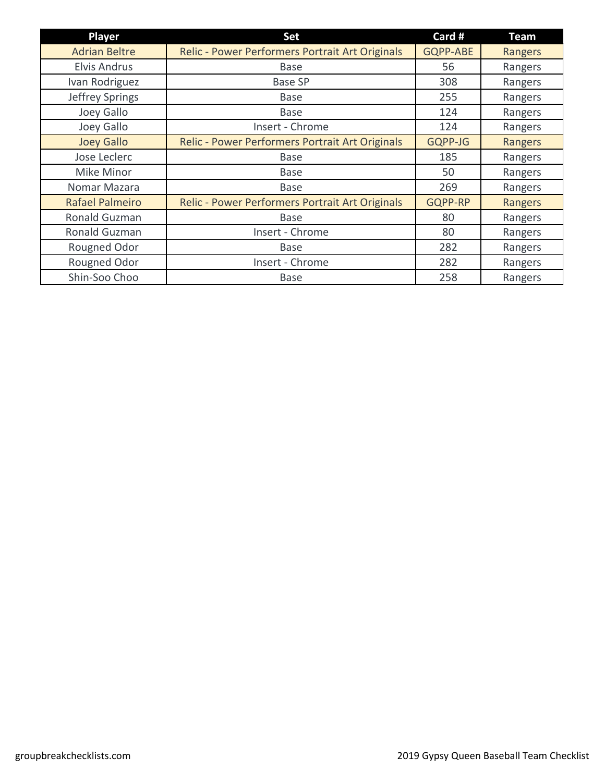| <b>Player</b>          | <b>Set</b>                                      | Card #          | <b>Team</b> |
|------------------------|-------------------------------------------------|-----------------|-------------|
| <b>Adrian Beltre</b>   | Relic - Power Performers Portrait Art Originals | <b>GQPP-ABE</b> | Rangers     |
| <b>Elvis Andrus</b>    | <b>Base</b>                                     | 56              | Rangers     |
| Ivan Rodriguez         | <b>Base SP</b>                                  | 308             | Rangers     |
| Jeffrey Springs        | <b>Base</b>                                     | 255             | Rangers     |
| Joey Gallo             | <b>Base</b>                                     | 124             | Rangers     |
| Joey Gallo             | Insert - Chrome                                 | 124             | Rangers     |
| <b>Joey Gallo</b>      | Relic - Power Performers Portrait Art Originals | GQPP-JG         | Rangers     |
| Jose Leclerc           | <b>Base</b>                                     | 185             | Rangers     |
| Mike Minor             | <b>Base</b>                                     | 50              | Rangers     |
| Nomar Mazara           | <b>Base</b>                                     | 269             | Rangers     |
| <b>Rafael Palmeiro</b> | Relic - Power Performers Portrait Art Originals | GQPP-RP         | Rangers     |
| Ronald Guzman          | <b>Base</b>                                     | 80              | Rangers     |
| Ronald Guzman          | Insert - Chrome                                 | 80              | Rangers     |
| Rougned Odor           | <b>Base</b>                                     | 282             | Rangers     |
| Rougned Odor           | Insert - Chrome                                 | 282             | Rangers     |
| Shin-Soo Choo          | <b>Base</b>                                     | 258             | Rangers     |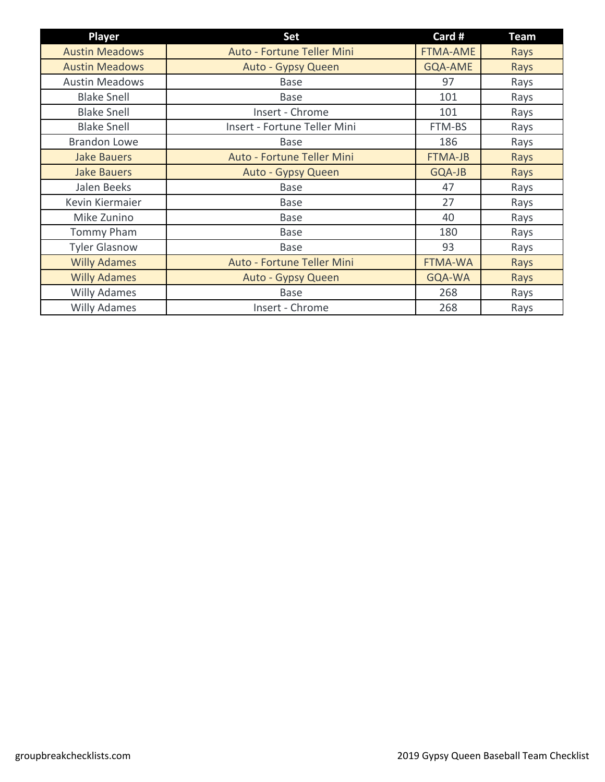| <b>Player</b>         | <b>Set</b>                   | Card #          | <b>Team</b> |
|-----------------------|------------------------------|-----------------|-------------|
| <b>Austin Meadows</b> | Auto - Fortune Teller Mini   | <b>FTMA-AME</b> | Rays        |
| <b>Austin Meadows</b> | Auto - Gypsy Queen           | <b>GQA-AME</b>  | Rays        |
| <b>Austin Meadows</b> | <b>Base</b>                  | 97              | Rays        |
| <b>Blake Snell</b>    | <b>Base</b>                  | 101             | Rays        |
| <b>Blake Snell</b>    | Insert - Chrome              | 101             | Rays        |
| <b>Blake Snell</b>    | Insert - Fortune Teller Mini | FTM-BS          | Rays        |
| <b>Brandon Lowe</b>   | <b>Base</b>                  | 186             | Rays        |
| <b>Jake Bauers</b>    | Auto - Fortune Teller Mini   | <b>FTMA-JB</b>  | Rays        |
| <b>Jake Bauers</b>    | Auto - Gypsy Queen           | GQA-JB          | Rays        |
| Jalen Beeks           | <b>Base</b>                  | 47              | Rays        |
| Kevin Kiermaier       | <b>Base</b>                  | 27              | Rays        |
| Mike Zunino           | <b>Base</b>                  | 40              | Rays        |
| <b>Tommy Pham</b>     | <b>Base</b>                  | 180             | Rays        |
| <b>Tyler Glasnow</b>  | <b>Base</b>                  | 93              | Rays        |
| <b>Willy Adames</b>   | Auto - Fortune Teller Mini   | <b>FTMA-WA</b>  | Rays        |
| <b>Willy Adames</b>   | Auto - Gypsy Queen           | GQA-WA          | Rays        |
| <b>Willy Adames</b>   | <b>Base</b>                  | 268             | Rays        |
| <b>Willy Adames</b>   | Insert - Chrome              | 268             | Rays        |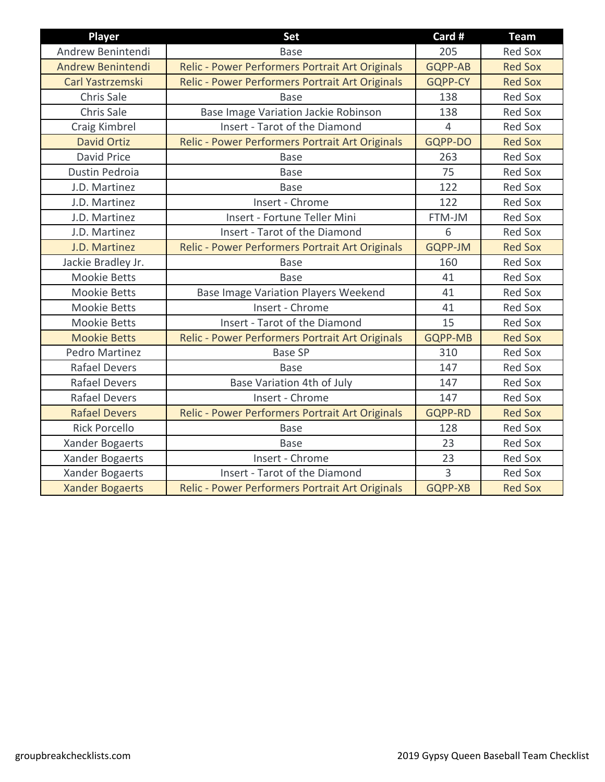| <b>Player</b>          | Set                                             | Card #         | <b>Team</b>    |
|------------------------|-------------------------------------------------|----------------|----------------|
| Andrew Benintendi      | <b>Base</b>                                     | 205            | <b>Red Sox</b> |
| Andrew Benintendi      | Relic - Power Performers Portrait Art Originals | <b>GQPP-AB</b> | <b>Red Sox</b> |
| Carl Yastrzemski       | Relic - Power Performers Portrait Art Originals | <b>GQPP-CY</b> | <b>Red Sox</b> |
| Chris Sale             | <b>Base</b>                                     | 138            | <b>Red Sox</b> |
| Chris Sale             | Base Image Variation Jackie Robinson            | 138            | <b>Red Sox</b> |
| Craig Kimbrel          | Insert - Tarot of the Diamond                   | $\overline{4}$ | <b>Red Sox</b> |
| <b>David Ortiz</b>     | Relic - Power Performers Portrait Art Originals | GQPP-DO        | <b>Red Sox</b> |
| <b>David Price</b>     | <b>Base</b>                                     | 263            | <b>Red Sox</b> |
| Dustin Pedroia         | <b>Base</b>                                     | 75             | <b>Red Sox</b> |
| J.D. Martinez          | <b>Base</b>                                     | 122            | <b>Red Sox</b> |
| J.D. Martinez          | Insert - Chrome                                 | 122            | <b>Red Sox</b> |
| J.D. Martinez          | Insert - Fortune Teller Mini                    | FTM-JM         | <b>Red Sox</b> |
| J.D. Martinez          | Insert - Tarot of the Diamond                   | 6              | <b>Red Sox</b> |
| J.D. Martinez          | Relic - Power Performers Portrait Art Originals | <b>GQPP-JM</b> | <b>Red Sox</b> |
| Jackie Bradley Jr.     | <b>Base</b>                                     | 160            | <b>Red Sox</b> |
| <b>Mookie Betts</b>    | <b>Base</b>                                     | 41             | <b>Red Sox</b> |
| <b>Mookie Betts</b>    | <b>Base Image Variation Players Weekend</b>     | 41             | <b>Red Sox</b> |
| <b>Mookie Betts</b>    | Insert - Chrome                                 | 41             | <b>Red Sox</b> |
| <b>Mookie Betts</b>    | Insert - Tarot of the Diamond                   | 15             | <b>Red Sox</b> |
| <b>Mookie Betts</b>    | Relic - Power Performers Portrait Art Originals | <b>GQPP-MB</b> | <b>Red Sox</b> |
| Pedro Martinez         | <b>Base SP</b>                                  | 310            | Red Sox        |
| <b>Rafael Devers</b>   | <b>Base</b>                                     | 147            | <b>Red Sox</b> |
| <b>Rafael Devers</b>   | Base Variation 4th of July                      | 147            | <b>Red Sox</b> |
| <b>Rafael Devers</b>   | Insert - Chrome                                 | 147            | <b>Red Sox</b> |
| <b>Rafael Devers</b>   | Relic - Power Performers Portrait Art Originals | <b>GQPP-RD</b> | <b>Red Sox</b> |
| <b>Rick Porcello</b>   | <b>Base</b>                                     | 128            | <b>Red Sox</b> |
| Xander Bogaerts        | <b>Base</b>                                     | 23             | <b>Red Sox</b> |
| Xander Bogaerts        | Insert - Chrome                                 | 23             | <b>Red Sox</b> |
| Xander Bogaerts        | Insert - Tarot of the Diamond                   | $\overline{3}$ | <b>Red Sox</b> |
| <b>Xander Bogaerts</b> | Relic - Power Performers Portrait Art Originals | GQPP-XB        | <b>Red Sox</b> |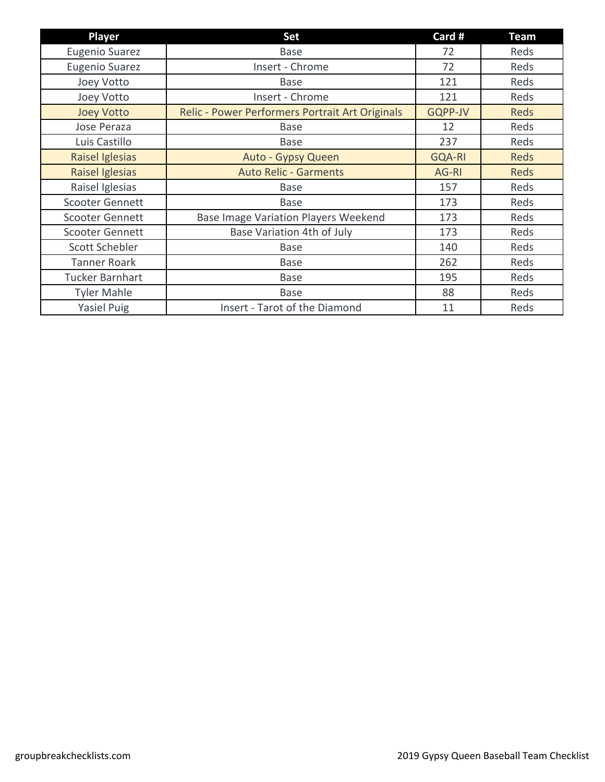| Player                 | <b>Set</b>                                      | Card #        | <b>Team</b> |
|------------------------|-------------------------------------------------|---------------|-------------|
| <b>Eugenio Suarez</b>  | <b>Base</b>                                     | 72            | Reds        |
| <b>Eugenio Suarez</b>  | Insert - Chrome                                 | 72            | Reds        |
| Joey Votto             | <b>Base</b>                                     | 121           | Reds        |
| Joey Votto             | Insert - Chrome                                 | 121           | Reds        |
| <b>Joey Votto</b>      | Relic - Power Performers Portrait Art Originals | GQPP-JV       | Reds        |
| Jose Peraza            | <b>Base</b>                                     | 12            | Reds        |
| Luis Castillo          | <b>Base</b>                                     | 237           | Reds        |
| Raisel Iglesias        | Auto - Gypsy Queen                              | <b>GQA-RI</b> | Reds        |
| Raisel Iglesias        | <b>Auto Relic - Garments</b>                    | AG-RI         | <b>Reds</b> |
| Raisel Iglesias        | <b>Base</b>                                     | 157           | Reds        |
| <b>Scooter Gennett</b> | <b>Base</b>                                     | 173           | Reds        |
| <b>Scooter Gennett</b> | <b>Base Image Variation Players Weekend</b>     | 173           | Reds        |
| Scooter Gennett        | Base Variation 4th of July                      | 173           | Reds        |
| Scott Schebler         | <b>Base</b>                                     | 140           | Reds        |
| <b>Tanner Roark</b>    | <b>Base</b>                                     | 262           | Reds        |
| <b>Tucker Barnhart</b> | <b>Base</b>                                     | 195           | Reds        |
| <b>Tyler Mahle</b>     | <b>Base</b>                                     | 88            | Reds        |
| <b>Yasiel Puig</b>     | Insert - Tarot of the Diamond                   | 11            | Reds        |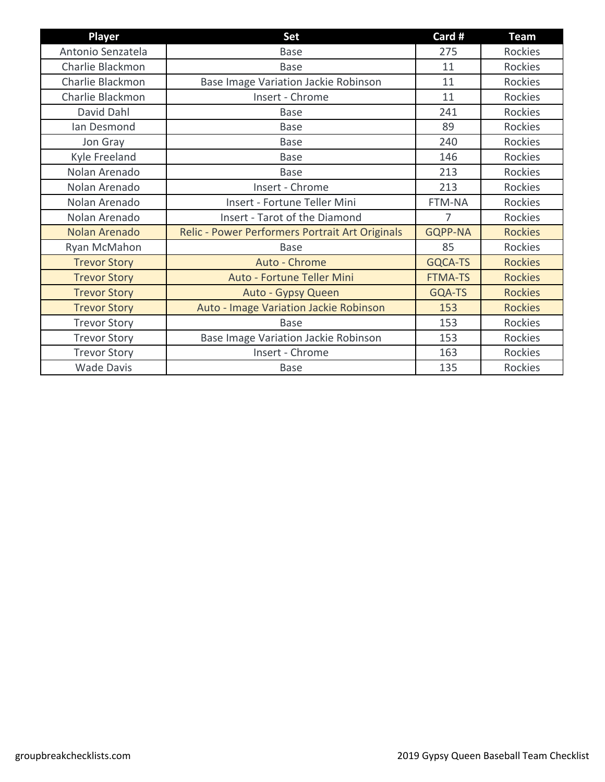| <b>Player</b>       | <b>Set</b>                                      | Card #         | <b>Team</b>    |
|---------------------|-------------------------------------------------|----------------|----------------|
| Antonio Senzatela   | <b>Base</b>                                     | 275            | Rockies        |
| Charlie Blackmon    | <b>Base</b>                                     | 11             | Rockies        |
| Charlie Blackmon    | Base Image Variation Jackie Robinson            | 11             | Rockies        |
| Charlie Blackmon    | Insert - Chrome                                 | 11             | Rockies        |
| David Dahl          | <b>Base</b>                                     | 241            | Rockies        |
| Ian Desmond         | <b>Base</b>                                     | 89             | Rockies        |
| Jon Gray            | <b>Base</b>                                     | 240            | Rockies        |
| Kyle Freeland       | <b>Base</b>                                     | 146            | Rockies        |
| Nolan Arenado       | <b>Base</b>                                     | 213            | Rockies        |
| Nolan Arenado       | Insert - Chrome                                 | 213            | Rockies        |
| Nolan Arenado       | Insert - Fortune Teller Mini                    | FTM-NA         | Rockies        |
| Nolan Arenado       | Insert - Tarot of the Diamond                   | 7              | Rockies        |
| Nolan Arenado       | Relic - Power Performers Portrait Art Originals | <b>GQPP-NA</b> | <b>Rockies</b> |
| Ryan McMahon        | <b>Base</b>                                     | 85             | Rockies        |
| <b>Trevor Story</b> | Auto - Chrome                                   | GQCA-TS        | <b>Rockies</b> |
| <b>Trevor Story</b> | Auto - Fortune Teller Mini                      | <b>FTMA-TS</b> | <b>Rockies</b> |
| <b>Trevor Story</b> | Auto - Gypsy Queen                              | GQA-TS         | <b>Rockies</b> |
| <b>Trevor Story</b> | Auto - Image Variation Jackie Robinson          | 153            | <b>Rockies</b> |
| <b>Trevor Story</b> | <b>Base</b>                                     | 153            | Rockies        |
| <b>Trevor Story</b> | Base Image Variation Jackie Robinson            | 153            | Rockies        |
| <b>Trevor Story</b> | Insert - Chrome                                 | 163            | Rockies        |
| <b>Wade Davis</b>   | <b>Base</b>                                     | 135            | <b>Rockies</b> |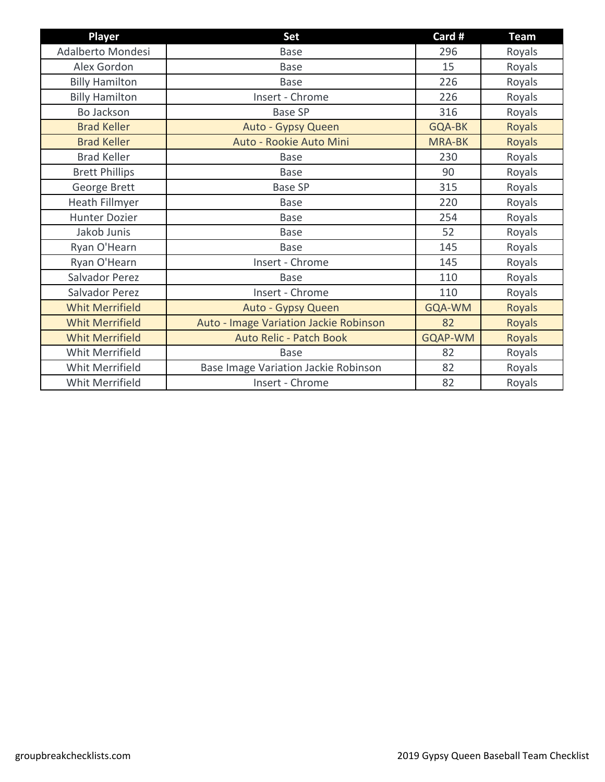| <b>Player</b>          | Set                                    | Card #         | <b>Team</b>   |
|------------------------|----------------------------------------|----------------|---------------|
| Adalberto Mondesi      | <b>Base</b>                            | 296            | Royals        |
| Alex Gordon            | <b>Base</b>                            | 15             | Royals        |
| <b>Billy Hamilton</b>  | <b>Base</b>                            | 226            | Royals        |
| <b>Billy Hamilton</b>  | Insert - Chrome                        | 226            | Royals        |
| Bo Jackson             | <b>Base SP</b>                         | 316            | Royals        |
| <b>Brad Keller</b>     | Auto - Gypsy Queen                     | <b>GQA-BK</b>  | Royals        |
| <b>Brad Keller</b>     | Auto - Rookie Auto Mini                | <b>MRA-BK</b>  | Royals        |
| <b>Brad Keller</b>     | <b>Base</b>                            | 230            | Royals        |
| <b>Brett Phillips</b>  | <b>Base</b>                            | 90             | Royals        |
| George Brett           | <b>Base SP</b>                         | 315            | Royals        |
| Heath Fillmyer         | Base                                   | 220            | Royals        |
| <b>Hunter Dozier</b>   | <b>Base</b>                            | 254            | Royals        |
| Jakob Junis            | <b>Base</b>                            | 52             | Royals        |
| Ryan O'Hearn           | <b>Base</b>                            | 145            | Royals        |
| Ryan O'Hearn           | Insert - Chrome                        | 145            | Royals        |
| Salvador Perez         | <b>Base</b>                            | 110            | Royals        |
| Salvador Perez         | Insert - Chrome                        | 110            | Royals        |
| <b>Whit Merrifield</b> | Auto - Gypsy Queen                     | GQA-WM         | <b>Royals</b> |
| <b>Whit Merrifield</b> | Auto - Image Variation Jackie Robinson | 82             | <b>Royals</b> |
| <b>Whit Merrifield</b> | <b>Auto Relic - Patch Book</b>         | <b>GQAP-WM</b> | <b>Royals</b> |
| Whit Merrifield        | <b>Base</b>                            | 82             | Royals        |
| Whit Merrifield        | Base Image Variation Jackie Robinson   | 82             | Royals        |
| Whit Merrifield        | Insert - Chrome                        | 82             | Royals        |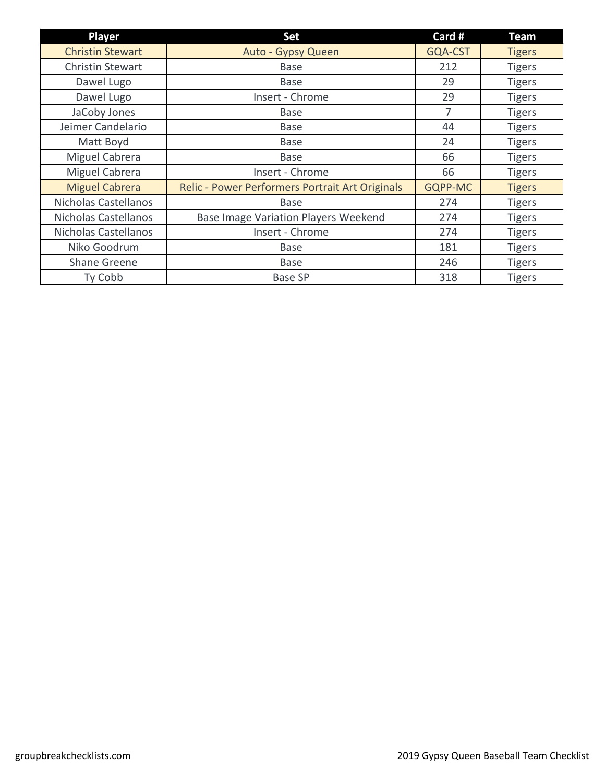| <b>Player</b>           | <b>Set</b>                                      | Card #  | <b>Team</b>   |
|-------------------------|-------------------------------------------------|---------|---------------|
| <b>Christin Stewart</b> | Auto - Gypsy Queen                              | GQA-CST | <b>Tigers</b> |
| <b>Christin Stewart</b> | <b>Base</b>                                     | 212     | <b>Tigers</b> |
| Dawel Lugo              | Base                                            | 29      | <b>Tigers</b> |
| Dawel Lugo              | Insert - Chrome                                 | 29      | <b>Tigers</b> |
| JaCoby Jones            | <b>Base</b>                                     | 7       | <b>Tigers</b> |
| Jeimer Candelario       | <b>Base</b>                                     | 44      | <b>Tigers</b> |
| Matt Boyd               | <b>Base</b>                                     | 24      | <b>Tigers</b> |
| Miguel Cabrera          | <b>Base</b>                                     | 66      | <b>Tigers</b> |
| Miguel Cabrera          | Insert - Chrome                                 | 66      | <b>Tigers</b> |
| <b>Miguel Cabrera</b>   | Relic - Power Performers Portrait Art Originals | GQPP-MC | <b>Tigers</b> |
| Nicholas Castellanos    | <b>Base</b>                                     | 274     | <b>Tigers</b> |
| Nicholas Castellanos    | <b>Base Image Variation Players Weekend</b>     | 274     | <b>Tigers</b> |
| Nicholas Castellanos    | Insert - Chrome                                 | 274     | <b>Tigers</b> |
| Niko Goodrum            | <b>Base</b>                                     | 181     | <b>Tigers</b> |
| <b>Shane Greene</b>     | <b>Base</b>                                     | 246     | <b>Tigers</b> |
| Ty Cobb                 | <b>Base SP</b>                                  | 318     | <b>Tigers</b> |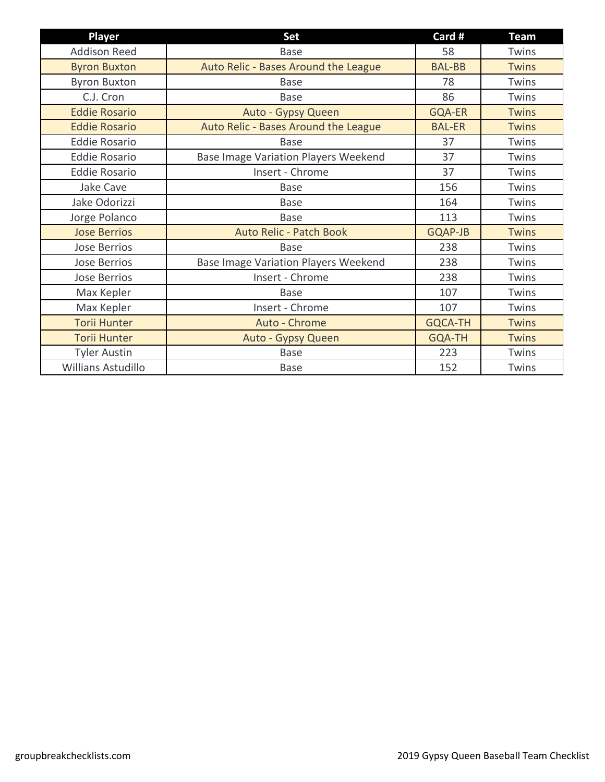| <b>Player</b>             | <b>Set</b>                                  | Card #         | <b>Team</b>  |
|---------------------------|---------------------------------------------|----------------|--------------|
| <b>Addison Reed</b>       | <b>Base</b>                                 | 58             | Twins        |
| <b>Byron Buxton</b>       | Auto Relic - Bases Around the League        | <b>BAL-BB</b>  | <b>Twins</b> |
| <b>Byron Buxton</b>       | <b>Base</b>                                 | 78             | Twins        |
| C.J. Cron                 | <b>Base</b>                                 | 86             | Twins        |
| <b>Eddie Rosario</b>      | Auto - Gypsy Queen                          | <b>GQA-ER</b>  | <b>Twins</b> |
| <b>Eddie Rosario</b>      | Auto Relic - Bases Around the League        | <b>BAL-ER</b>  | <b>Twins</b> |
| <b>Eddie Rosario</b>      | <b>Base</b>                                 | 37             | Twins        |
| <b>Eddie Rosario</b>      | <b>Base Image Variation Players Weekend</b> | 37             | Twins        |
| <b>Eddie Rosario</b>      | Insert - Chrome                             | 37             | Twins        |
| <b>Jake Cave</b>          | <b>Base</b>                                 | 156            | Twins        |
| Jake Odorizzi             | <b>Base</b>                                 | 164            | Twins        |
| Jorge Polanco             | <b>Base</b>                                 | 113            | Twins        |
| <b>Jose Berrios</b>       | <b>Auto Relic - Patch Book</b>              | <b>GQAP-JB</b> | <b>Twins</b> |
| <b>Jose Berrios</b>       | Base                                        | 238            | Twins        |
| <b>Jose Berrios</b>       | Base Image Variation Players Weekend        | 238            | Twins        |
| <b>Jose Berrios</b>       | Insert - Chrome                             | 238            | Twins        |
| Max Kepler                | <b>Base</b>                                 | 107            | Twins        |
| Max Kepler                | Insert - Chrome                             | 107            | Twins        |
| <b>Torii Hunter</b>       | Auto - Chrome                               | <b>GQCA-TH</b> | <b>Twins</b> |
| <b>Torii Hunter</b>       | Auto - Gypsy Queen                          | <b>GQA-TH</b>  | <b>Twins</b> |
| <b>Tyler Austin</b>       | <b>Base</b>                                 | 223            | Twins        |
| <b>Willians Astudillo</b> | <b>Base</b>                                 | 152            | Twins        |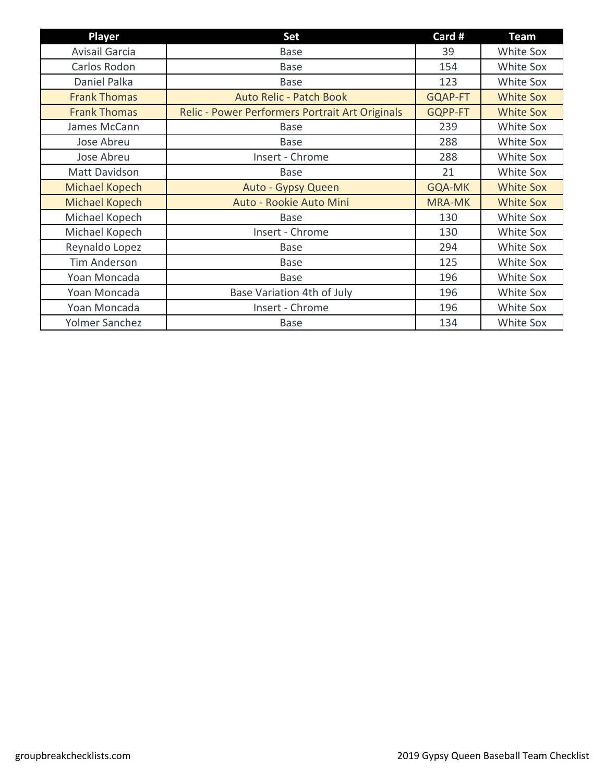| <b>Player</b>         | Set                                             | Card #         | <b>Team</b>      |
|-----------------------|-------------------------------------------------|----------------|------------------|
| Avisail Garcia        | <b>Base</b>                                     | 39             | White Sox        |
| Carlos Rodon          | Base                                            | 154            | White Sox        |
| Daniel Palka          | <b>Base</b>                                     | 123            | White Sox        |
| <b>Frank Thomas</b>   | <b>Auto Relic - Patch Book</b>                  | <b>GQAP-FT</b> | <b>White Sox</b> |
| <b>Frank Thomas</b>   | Relic - Power Performers Portrait Art Originals | GQPP-FT        | <b>White Sox</b> |
| James McCann          | <b>Base</b>                                     | 239            | White Sox        |
| Jose Abreu            | <b>Base</b>                                     | 288            | White Sox        |
| Jose Abreu            | Insert - Chrome                                 | 288            | White Sox        |
| Matt Davidson         | <b>Base</b>                                     | 21             | White Sox        |
| Michael Kopech        | Auto - Gypsy Queen                              | <b>GQA-MK</b>  | <b>White Sox</b> |
| <b>Michael Kopech</b> | Auto - Rookie Auto Mini                         | <b>MRA-MK</b>  | <b>White Sox</b> |
| Michael Kopech        | <b>Base</b>                                     | 130            | White Sox        |
| Michael Kopech        | Insert - Chrome                                 | 130            | White Sox        |
| Reynaldo Lopez        | <b>Base</b>                                     | 294            | White Sox        |
| <b>Tim Anderson</b>   | Base                                            | 125            | White Sox        |
| Yoan Moncada          | <b>Base</b>                                     | 196            | White Sox        |
| Yoan Moncada          | Base Variation 4th of July                      | 196            | White Sox        |
| Yoan Moncada          | Insert - Chrome                                 | 196            | White Sox        |
| Yolmer Sanchez        | <b>Base</b>                                     | 134            | White Sox        |